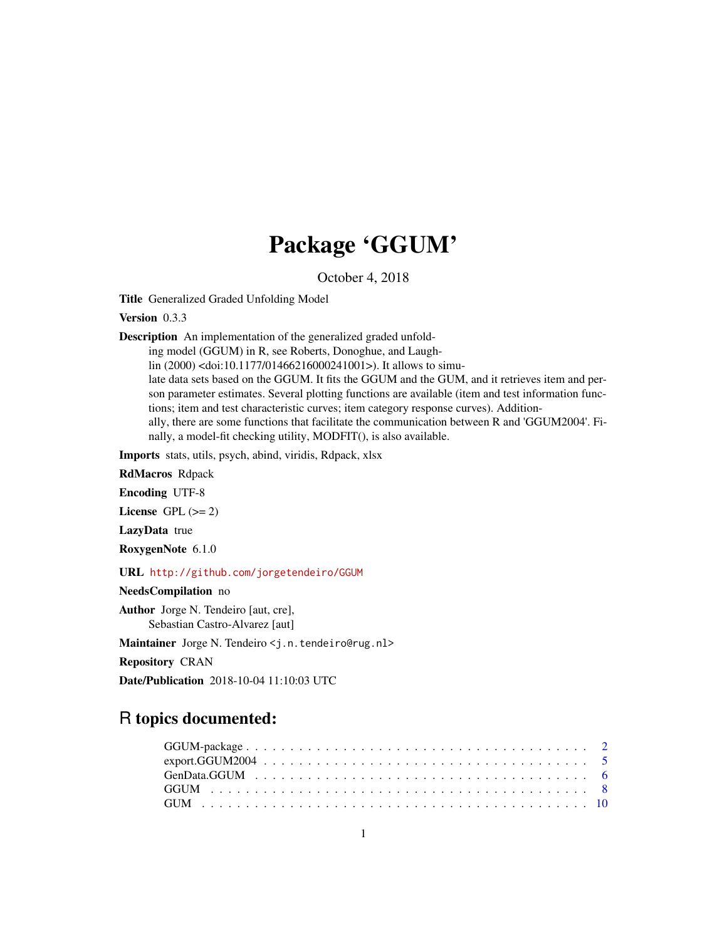## Package 'GGUM'

October 4, 2018

Title Generalized Graded Unfolding Model

Version 0.3.3

Description An implementation of the generalized graded unfold-

ing model (GGUM) in R, see Roberts, Donoghue, and Laugh-

lin (2000) <doi:10.1177/01466216000241001>). It allows to simu-

late data sets based on the GGUM. It fits the GGUM and the GUM, and it retrieves item and person parameter estimates. Several plotting functions are available (item and test information functions; item and test characteristic curves; item category response curves). Additionally, there are some functions that facilitate the communication between R and 'GGUM2004'. Finally, a model-fit checking utility, MODFIT(), is also available.

Imports stats, utils, psych, abind, viridis, Rdpack, xlsx

RdMacros Rdpack

Encoding UTF-8

License GPL  $(>= 2)$ 

LazyData true

RoxygenNote 6.1.0

URL <http://github.com/jorgetendeiro/GGUM>

NeedsCompilation no

Author Jorge N. Tendeiro [aut, cre], Sebastian Castro-Alvarez [aut]

Maintainer Jorge N. Tendeiro <j.n.tendeiro@rug.nl>

Repository CRAN

Date/Publication 2018-10-04 11:10:03 UTC

## R topics documented: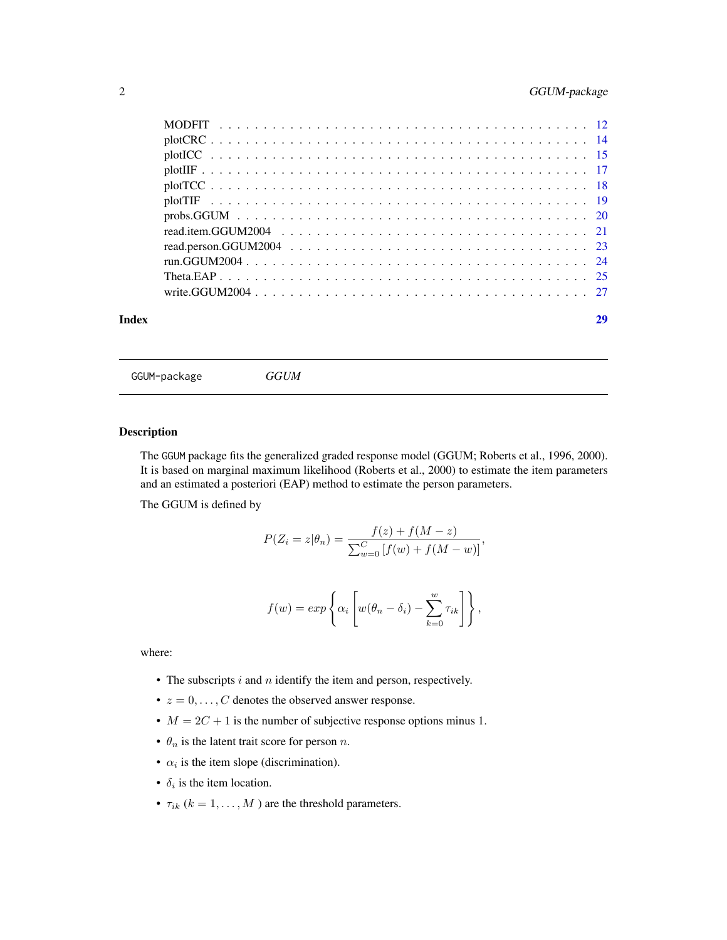## <span id="page-1-0"></span>2 GGUM-package

| Index |  |
|-------|--|

GGUM-package *GGUM*

## Description

The GGUM package fits the generalized graded response model (GGUM; Roberts et al., 1996, 2000). It is based on marginal maximum likelihood (Roberts et al., 2000) to estimate the item parameters and an estimated a posteriori (EAP) method to estimate the person parameters.

The GGUM is defined by

$$
P(Z_i = z | \theta_n) = \frac{f(z) + f(M - z)}{\sum_{w=0}^{C} [f(w) + f(M - w)]},
$$

$$
f(w) = exp \left\{ \alpha_i \left[ w(\theta_n - \delta_i) - \sum_{k=0}^w \tau_{ik} \right] \right\},\,
$$

where:

- The subscripts  $i$  and  $n$  identify the item and person, respectively.
- $z = 0, \ldots, C$  denotes the observed answer response.
- $M = 2C + 1$  is the number of subjective response options minus 1.
- $\theta_n$  is the latent trait score for person *n*.
- $\alpha_i$  is the item slope (discrimination).
- $\delta_i$  is the item location.
- $\tau_{ik}$  ( $k = 1, \ldots, M$ ) are the threshold parameters.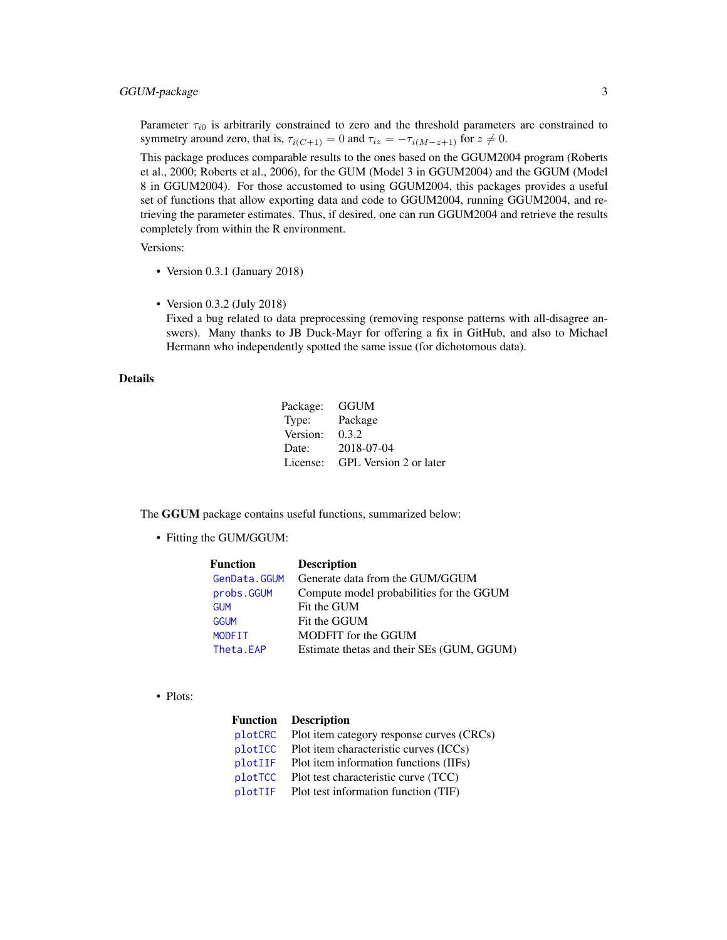<span id="page-2-0"></span>Parameter  $\tau_{i0}$  is arbitrarily constrained to zero and the threshold parameters are constrained to symmetry around zero, that is,  $\tau_{i(C+1)} = 0$  and  $\tau_{iz} = -\tau_{i(M-z+1)}$  for  $z \neq 0$ .

This package produces comparable results to the ones based on the GGUM2004 program (Roberts et al., 2000; Roberts et al., 2006), for the GUM (Model 3 in GGUM2004) and the GGUM (Model 8 in GGUM2004). For those accustomed to using GGUM2004, this packages provides a useful set of functions that allow exporting data and code to GGUM2004, running GGUM2004, and retrieving the parameter estimates. Thus, if desired, one can run GGUM2004 and retrieve the results completely from within the R environment.

Versions:

- Version 0.3.1 (January 2018)
- Version 0.3.2 (July 2018)

Fixed a bug related to data preprocessing (removing response patterns with all-disagree answers). Many thanks to JB Duck-Mayr for offering a fix in GitHub, and also to Michael Hermann who independently spotted the same issue (for dichotomous data).

#### Details

| Package: | GGUM                   |
|----------|------------------------|
| Type:    | Package                |
| Version: | 0.3.2                  |
| Date:    | 2018-07-04             |
| License: | GPL Version 2 or later |

The GGUM package contains useful functions, summarized below:

• Fitting the GUM/GGUM:

| Function     | <b>Description</b>                        |
|--------------|-------------------------------------------|
| GenData.GGUM | Generate data from the GUM/GGUM           |
| probs.GGUM   | Compute model probabilities for the GGUM  |
| <b>GUM</b>   | Fit the GUM                               |
| <b>GGUM</b>  | Fit the GGUM                              |
| MODFIT       | MODFIT for the GGUM                       |
| Theta.EAP    | Estimate thetas and their SEs (GUM, GGUM) |

• Plots:

| Function | <b>Description</b>                        |
|----------|-------------------------------------------|
| plotCRC  | Plot item category response curves (CRCs) |
| plotICC  | Plot item characteristic curves (ICCs)    |
| plotIIF  | Plot item information functions (IIFs)    |
| plotTCC  | Plot test characteristic curve (TCC)      |
| plotTIF  | Plot test information function (TIF)      |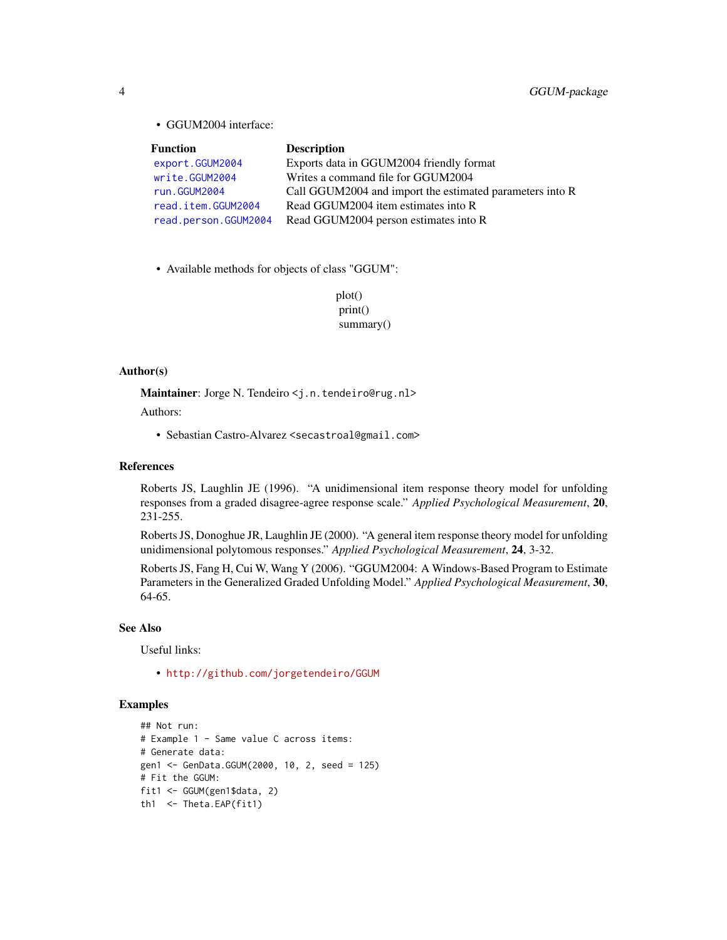• GGUM2004 interface:

| <b>Function</b>      | <b>Description</b>                                       |
|----------------------|----------------------------------------------------------|
| export.GGUM2004      | Exports data in GGUM2004 friendly format                 |
| write.GGUM2004       | Writes a command file for GGUM2004                       |
| run.GGUM2004         | Call GGUM2004 and import the estimated parameters into R |
| read.item.GGUM2004   | Read GGUM2004 item estimates into R                      |
| read.person.GGUM2004 | Read GGUM2004 person estimates into R                    |

- Available methods for objects of class "GGUM":
	- plot() print() summary()

## Author(s)

Maintainer: Jorge N. Tendeiro <j.n.tendeiro@rug.nl>

Authors:

• Sebastian Castro-Alvarez <secastroal@gmail.com>

#### References

Roberts JS, Laughlin JE (1996). "A unidimensional item response theory model for unfolding responses from a graded disagree-agree response scale." *Applied Psychological Measurement*, 20, 231-255.

Roberts JS, Donoghue JR, Laughlin JE (2000). "A general item response theory model for unfolding unidimensional polytomous responses." *Applied Psychological Measurement*, 24, 3-32.

Roberts JS, Fang H, Cui W, Wang Y (2006). "GGUM2004: A Windows-Based Program to Estimate Parameters in the Generalized Graded Unfolding Model." *Applied Psychological Measurement*, 30, 64-65.

#### See Also

Useful links:

• <http://github.com/jorgetendeiro/GGUM>

## Examples

```
## Not run:
# Example 1 - Same value C across items:
# Generate data:
gen1 <- GenData.GGUM(2000, 10, 2, seed = 125)
# Fit the GGUM:
fit1 <- GGUM(gen1$data, 2)
th1 <- Theta.EAP(fit1)
```
<span id="page-3-0"></span>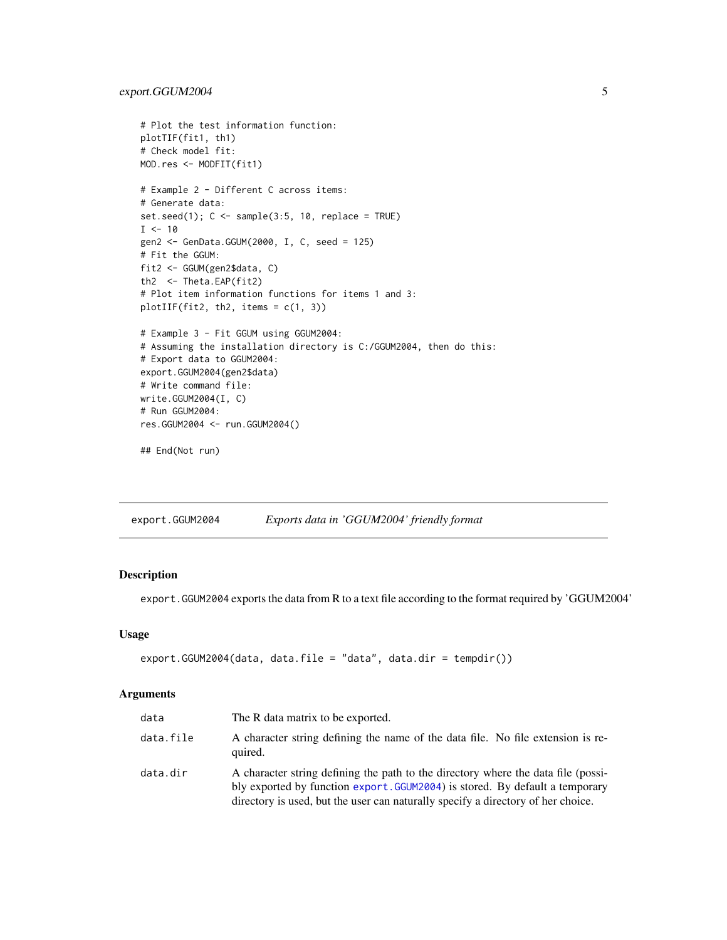```
# Plot the test information function:
plotTIF(fit1, th1)
# Check model fit:
MOD.res <- MODFIT(fit1)
# Example 2 - Different C across items:
# Generate data:
set.seed(1); C \leq sample(3:5, 10, replace = TRUE)
I < -10gen2 <- GenData.GGUM(2000, I, C, seed = 125)
# Fit the GGUM:
fit2 <- GGUM(gen2$data, C)
th2 <- Theta.EAP(fit2)
# Plot item information functions for items 1 and 3:
plotIIF(fit2, th2, items = c(1, 3))
# Example 3 - Fit GGUM using GGUM2004:
# Assuming the installation directory is C:/GGUM2004, then do this:
# Export data to GGUM2004:
export.GGUM2004(gen2$data)
# Write command file:
write.GGUM2004(I, C)
# Run GGUM2004:
res.GGUM2004 <- run.GGUM2004()
## End(Not run)
```
<span id="page-4-1"></span>export.GGUM2004 *Exports data in 'GGUM2004' friendly format*

## Description

export.GGUM2004 exports the data from R to a text file according to the format required by 'GGUM2004'

## Usage

```
export.GGUM2004(data, data.file = "data", data.dir = tempdir())
```
#### Arguments

| data      | The R data matrix to be exported.                                                                                                                                                                                                                     |
|-----------|-------------------------------------------------------------------------------------------------------------------------------------------------------------------------------------------------------------------------------------------------------|
| data.file | A character string defining the name of the data file. No file extension is re-<br>quired.                                                                                                                                                            |
| data.dir  | A character string defining the path to the directory where the data file (possi-<br>bly exported by function export. GGUM2004) is stored. By default a temporary<br>directory is used, but the user can naturally specify a directory of her choice. |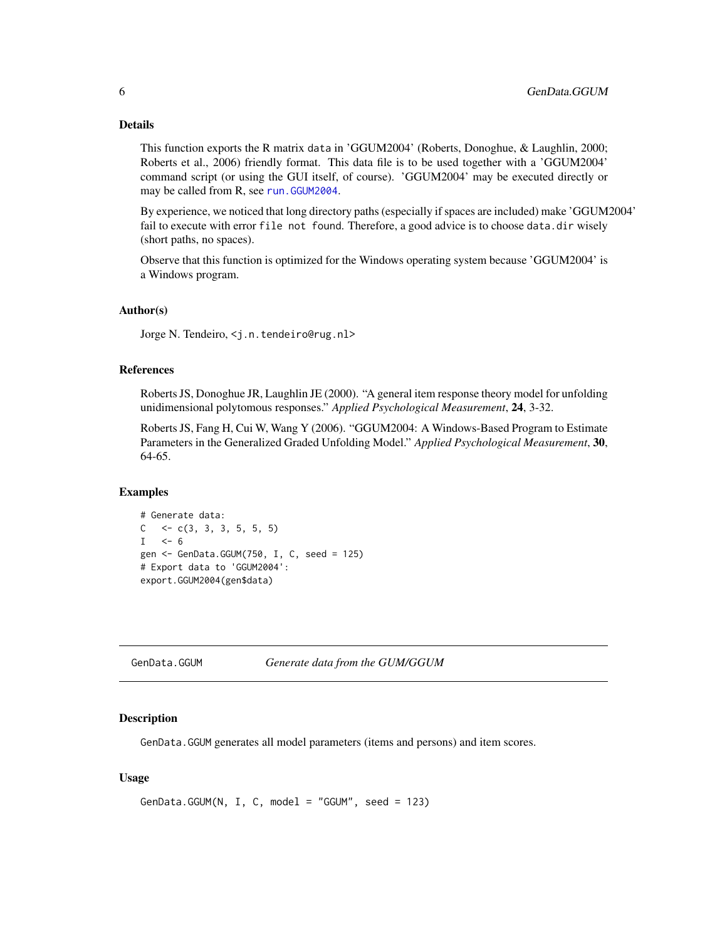## <span id="page-5-0"></span>Details

This function exports the R matrix data in 'GGUM2004' (Roberts, Donoghue, & Laughlin, 2000; Roberts et al., 2006) friendly format. This data file is to be used together with a 'GGUM2004' command script (or using the GUI itself, of course). 'GGUM2004' may be executed directly or may be called from R, see [run.GGUM2004](#page-23-1).

By experience, we noticed that long directory paths (especially if spaces are included) make 'GGUM2004' fail to execute with error file not found. Therefore, a good advice is to choose data.dir wisely (short paths, no spaces).

Observe that this function is optimized for the Windows operating system because 'GGUM2004' is a Windows program.

#### Author(s)

Jorge N. Tendeiro, <j.n.tendeiro@rug.nl>

## References

Roberts JS, Donoghue JR, Laughlin JE (2000). "A general item response theory model for unfolding unidimensional polytomous responses." *Applied Psychological Measurement*, 24, 3-32.

Roberts JS, Fang H, Cui W, Wang Y (2006). "GGUM2004: A Windows-Based Program to Estimate Parameters in the Generalized Graded Unfolding Model." *Applied Psychological Measurement*, 30, 64-65.

#### Examples

```
# Generate data:
C \leq -c(3, 3, 3, 5, 5, 5)I \le -6gen <- GenData.GGUM(750, I, C, seed = 125)
# Export data to 'GGUM2004':
export.GGUM2004(gen$data)
```
<span id="page-5-1"></span>GenData.GGUM *Generate data from the GUM/GGUM*

#### Description

GenData.GGUM generates all model parameters (items and persons) and item scores.

#### Usage

```
GenData.GGUM(N, I, C, model = "GGUM", seed = 123)
```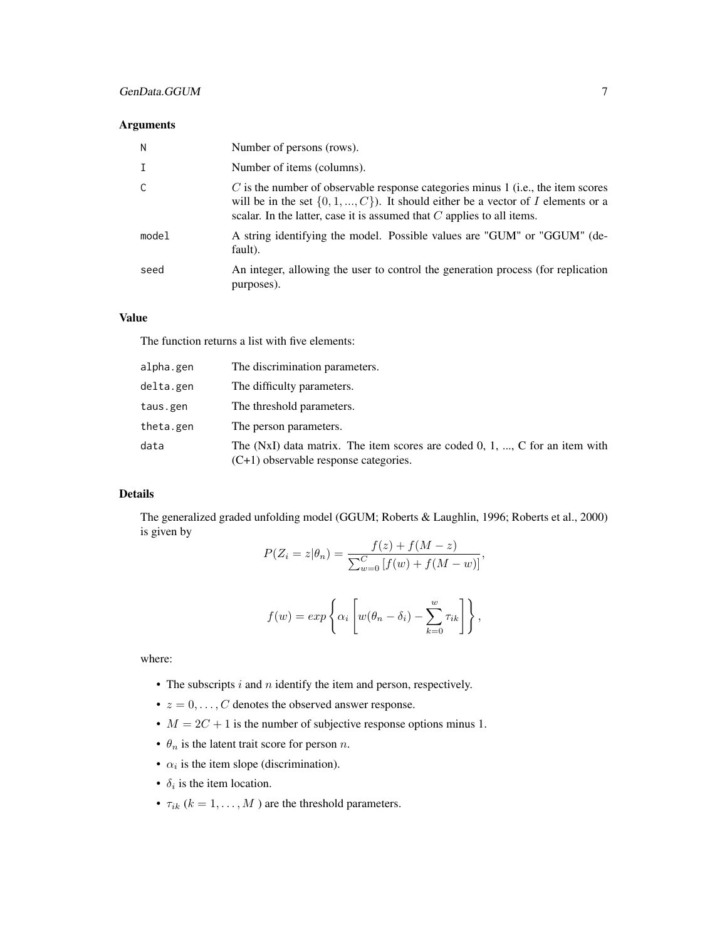## Arguments

| N            | Number of persons (rows).                                                                                                                                                                                                                               |
|--------------|---------------------------------------------------------------------------------------------------------------------------------------------------------------------------------------------------------------------------------------------------------|
| $\mathsf{T}$ | Number of items (columns).                                                                                                                                                                                                                              |
| C            | $C$ is the number of observable response categories minus 1 (i.e., the item scores<br>will be in the set $\{0, 1, , C\}$ ). It should either be a vector of I elements or a<br>scalar. In the latter, case it is assumed that $C$ applies to all items. |
| model        | A string identifying the model. Possible values are "GUM" or "GGUM" (de-<br>fault).                                                                                                                                                                     |
| seed         | An integer, allowing the user to control the generation process (for replication<br>purposes).                                                                                                                                                          |

## Value

The function returns a list with five elements:

| alpha.gen | The discrimination parameters.                                                                                           |
|-----------|--------------------------------------------------------------------------------------------------------------------------|
| delta.gen | The difficulty parameters.                                                                                               |
| taus.gen  | The threshold parameters.                                                                                                |
| theta.gen | The person parameters.                                                                                                   |
| data      | The (NxI) data matrix. The item scores are coded $0, 1, , C$ for an item with<br>$(C+1)$ observable response categories. |

## Details

The generalized graded unfolding model (GGUM; Roberts & Laughlin, 1996; Roberts et al., 2000) is given by

$$
P(Z_i = z | \theta_n) = \frac{f(z) + f(M - z)}{\sum_{w=0}^{C} [f(w) + f(M - w)]},
$$

$$
f(w) = exp \left\{ \alpha_i \left[ w(\theta_n - \delta_i) - \sum_{k=0}^w \tau_{ik} \right] \right\},\,
$$

where:

- The subscripts  $i$  and  $n$  identify the item and person, respectively.
- $z = 0, \ldots, C$  denotes the observed answer response.
- $M = 2C + 1$  is the number of subjective response options minus 1.
- $\theta_n$  is the latent trait score for person *n*.
- $\alpha_i$  is the item slope (discrimination).
- $\delta_i$  is the item location.
- $\tau_{ik}$  ( $k = 1, \ldots, M$ ) are the threshold parameters.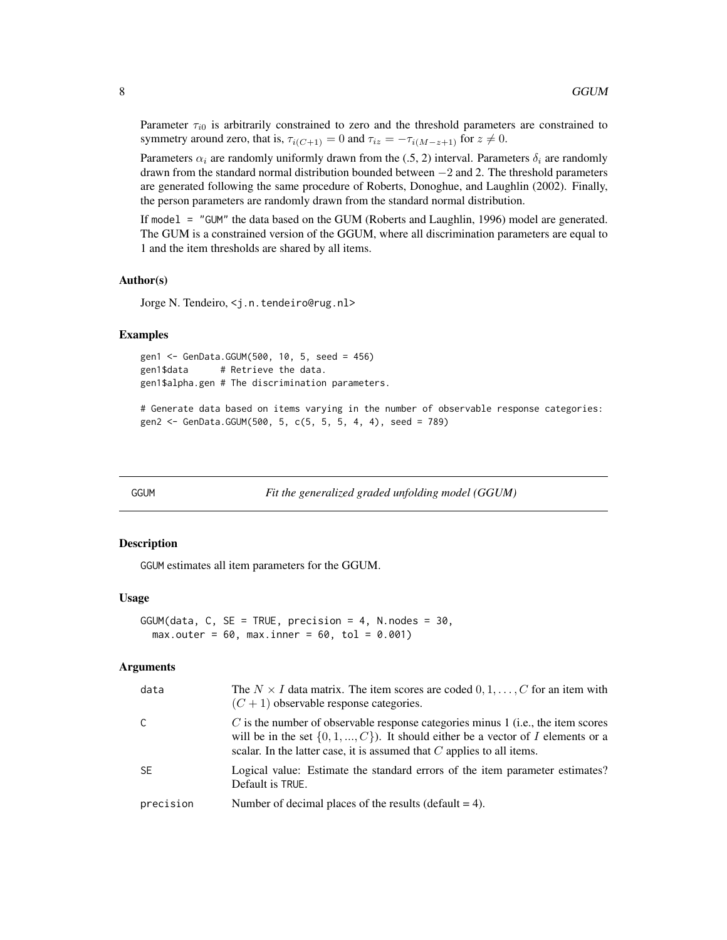<span id="page-7-0"></span>Parameter  $\tau_{i0}$  is arbitrarily constrained to zero and the threshold parameters are constrained to symmetry around zero, that is,  $\tau_{i(C+1)} = 0$  and  $\tau_{iz} = -\tau_{i(M-z+1)}$  for  $z \neq 0$ .

Parameters  $\alpha_i$  are randomly uniformly drawn from the (.5, 2) interval. Parameters  $\delta_i$  are randomly drawn from the standard normal distribution bounded between  $-2$  and 2. The threshold parameters are generated following the same procedure of Roberts, Donoghue, and Laughlin (2002). Finally, the person parameters are randomly drawn from the standard normal distribution.

If model = "GUM" the data based on the GUM (Roberts and Laughlin, 1996) model are generated. The GUM is a constrained version of the GGUM, where all discrimination parameters are equal to 1 and the item thresholds are shared by all items.

## Author(s)

Jorge N. Tendeiro, <j.n.tendeiro@rug.nl>

#### Examples

```
gen1 <- GenData.GGUM(500, 10, 5, seed = 456)
gen1$data # Retrieve the data.
gen1$alpha.gen # The discrimination parameters.
```
# Generate data based on items varying in the number of observable response categories: gen2 <- GenData.GGUM(500, 5, c(5, 5, 5, 4, 4), seed = 789)

<span id="page-7-1"></span>

GGUM *Fit the generalized graded unfolding model (GGUM)*

#### Description

GGUM estimates all item parameters for the GGUM.

#### Usage

```
GGUM(data, C, SE = TRUE, precision = 4, N.nodes = 30,max.outer = 60, max.inner = 60, tol = 0.001)
```
#### Arguments

| data      | The $N \times I$ data matrix. The item scores are coded $0, 1, \ldots, C$ for an item with<br>$(C+1)$ observable response categories.                                                                                                                   |
|-----------|---------------------------------------------------------------------------------------------------------------------------------------------------------------------------------------------------------------------------------------------------------|
| C         | $C$ is the number of observable response categories minus 1 (i.e., the item scores<br>will be in the set $\{0, 1, , C\}$ ). It should either be a vector of I elements or a<br>scalar. In the latter case, it is assumed that $C$ applies to all items. |
| <b>SE</b> | Logical value: Estimate the standard errors of the item parameter estimates?<br>Default is TRUE.                                                                                                                                                        |
| precision | Number of decimal places of the results (default $= 4$ ).                                                                                                                                                                                               |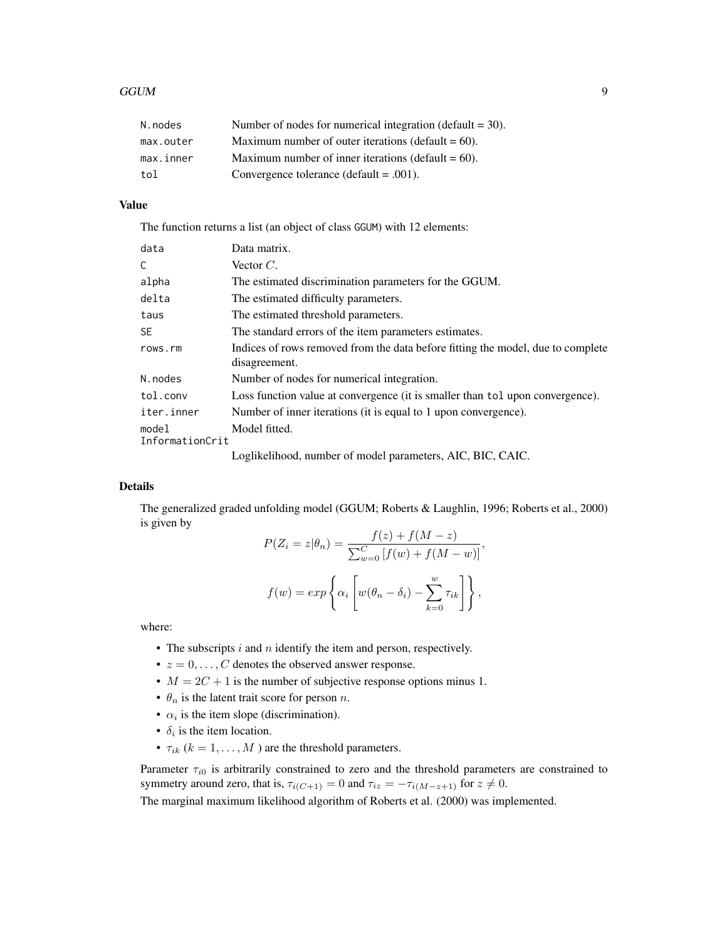| N.nodes   | Number of nodes for numerical integration (default $=$ 30). |
|-----------|-------------------------------------------------------------|
| max.outer | Maximum number of outer iterations (default $= 60$ ).       |
| max.inner | Maximum number of inner iterations (default $= 60$ ).       |
| tol       | Convergence tolerance (default $= .001$ ).                  |

## Value

The function returns a list (an object of class GGUM) with 12 elements:

| data                     | Data matrix.                                                                                     |
|--------------------------|--------------------------------------------------------------------------------------------------|
| C                        | Vector $C$ .                                                                                     |
| alpha                    | The estimated discrimination parameters for the GGUM.                                            |
| delta                    | The estimated difficulty parameters.                                                             |
| taus                     | The estimated threshold parameters.                                                              |
| <b>SE</b>                | The standard errors of the item parameters estimates.                                            |
| rows.rm                  | Indices of rows removed from the data before fitting the model, due to complete<br>disagreement. |
| N.nodes                  | Number of nodes for numerical integration.                                                       |
| tol.conv                 | Loss function value at convergence (it is smaller than tol upon convergence).                    |
| iter.inner               | Number of inner iterations (it is equal to 1 upon convergence).                                  |
| model<br>InformationCrit | Model fitted.                                                                                    |
|                          | Logiizalizaci number of model peremeters. AIC PIC CAIC                                           |

Loglikelihood, number of model parameters, AIC, BIC, CAIC.

## Details

The generalized graded unfolding model (GGUM; Roberts & Laughlin, 1996; Roberts et al., 2000) is given by

$$
P(Z_i = z | \theta_n) = \frac{f(z) + f(M - z)}{\sum_{w=0}^{C} [f(w) + f(M - w)]},
$$

$$
f(w) = exp\left\{\alpha_i \left[w(\theta_n - \delta_i) - \sum_{k=0}^{w} \tau_{ik}\right]\right\},\
$$

where:

- The subscripts  $i$  and  $n$  identify the item and person, respectively.
- $z = 0, \ldots, C$  denotes the observed answer response.
- $M = 2C + 1$  is the number of subjective response options minus 1.
- $\theta_n$  is the latent trait score for person *n*.
- $\alpha_i$  is the item slope (discrimination).
- $\delta_i$  is the item location.
- $\tau_{ik}$  ( $k = 1, \ldots, M$ ) are the threshold parameters.

Parameter  $\tau_{i0}$  is arbitrarily constrained to zero and the threshold parameters are constrained to symmetry around zero, that is,  $\tau_{i(C+1)} = 0$  and  $\tau_{iz} = -\tau_{i(M-z+1)}$  for  $z \neq 0$ .

The marginal maximum likelihood algorithm of Roberts et al. (2000) was implemented.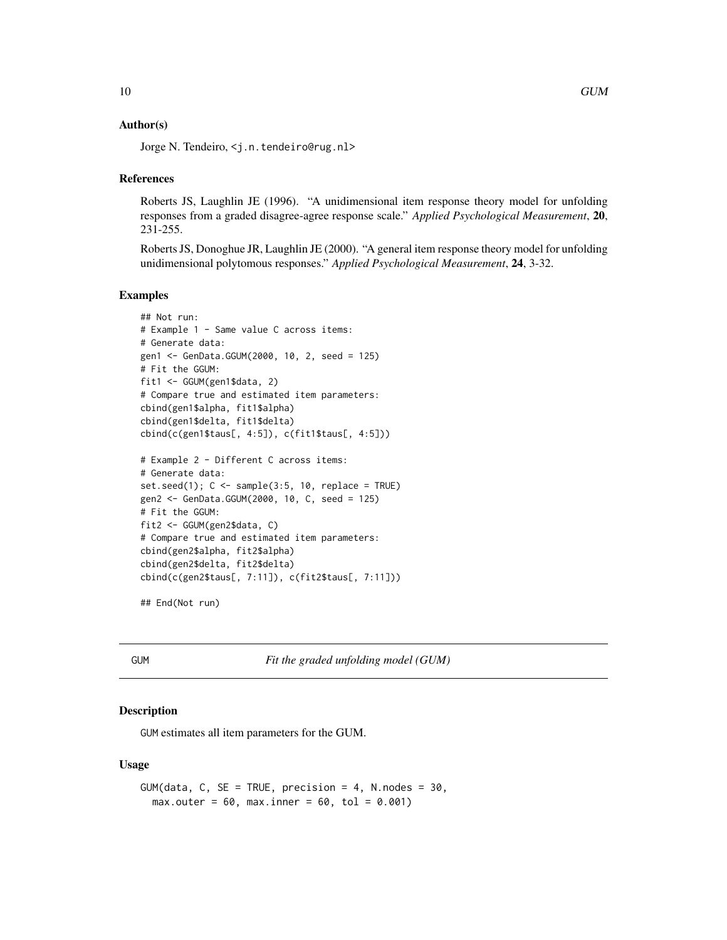## <span id="page-9-0"></span>Author(s)

Jorge N. Tendeiro, <j.n.tendeiro@rug.nl>

## References

Roberts JS, Laughlin JE (1996). "A unidimensional item response theory model for unfolding responses from a graded disagree-agree response scale." *Applied Psychological Measurement*, 20, 231-255.

Roberts JS, Donoghue JR, Laughlin JE (2000). "A general item response theory model for unfolding unidimensional polytomous responses." *Applied Psychological Measurement*, 24, 3-32.

## Examples

```
## Not run:
# Example 1 - Same value C across items:
# Generate data:
gen1 <- GenData.GGUM(2000, 10, 2, seed = 125)
# Fit the GGUM:
fit1 <- GGUM(gen1$data, 2)
# Compare true and estimated item parameters:
cbind(gen1$alpha, fit1$alpha)
cbind(gen1$delta, fit1$delta)
cbind(c(gen1$taus[, 4:5]), c(fit1$taus[, 4:5]))
# Example 2 - Different C across items:
# Generate data:
set.seed(1); C \leq sample(3:5, 10, replace = TRUE)
gen2 <- GenData.GGUM(2000, 10, C, seed = 125)
# Fit the GGUM:
fit2 <- GGUM(gen2$data, C)
# Compare true and estimated item parameters:
cbind(gen2$alpha, fit2$alpha)
cbind(gen2$delta, fit2$delta)
cbind(c(gen2$taus[, 7:11]), c(fit2$taus[, 7:11]))
```
## End(Not run)

<span id="page-9-1"></span>GUM *Fit the graded unfolding model (GUM)*

#### Description

GUM estimates all item parameters for the GUM.

## Usage

```
GUM(data, C, SE = TRUE, precision = 4, N.nodes = 30,max.outer = 60, max.inner = 60, tol = 0.001)
```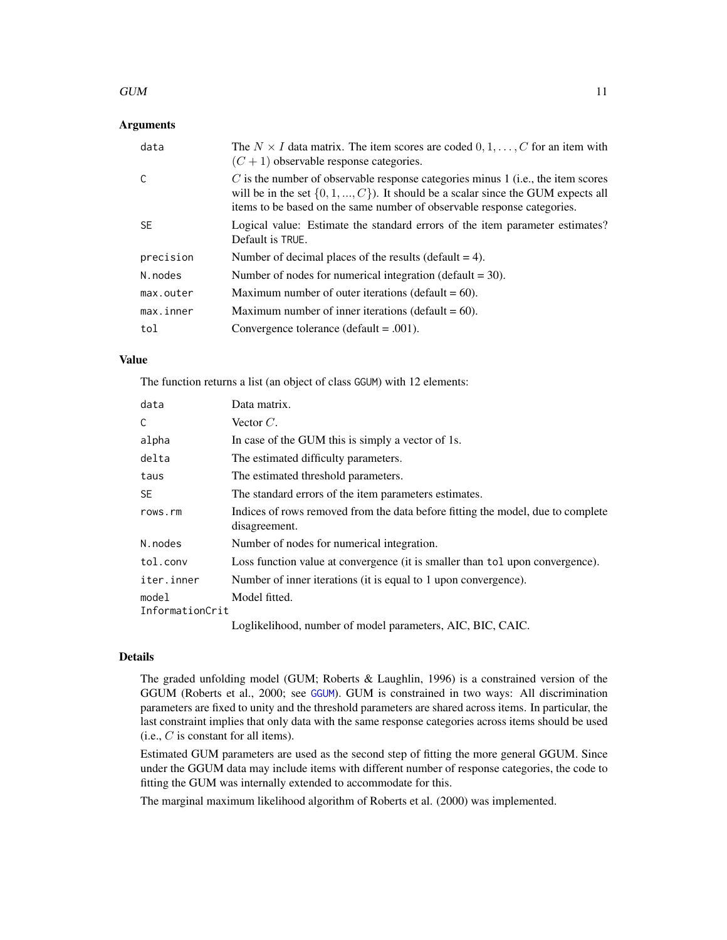#### <span id="page-10-0"></span> $GUM$  11

## **Arguments**

| data      | The $N \times I$ data matrix. The item scores are coded $0, 1, \ldots, C$ for an item with<br>$(C+1)$ observable response categories.                                                                                                                 |
|-----------|-------------------------------------------------------------------------------------------------------------------------------------------------------------------------------------------------------------------------------------------------------|
|           | $C$ is the number of observable response categories minus 1 (i.e., the item scores<br>will be in the set $\{0, 1, , C\}$ . It should be a scalar since the GUM expects all<br>items to be based on the same number of observable response categories. |
| <b>SE</b> | Logical value: Estimate the standard errors of the item parameter estimates?<br>Default is TRUE.                                                                                                                                                      |
| precision | Number of decimal places of the results (default $= 4$ ).                                                                                                                                                                                             |
| N.nodes   | Number of nodes for numerical integration (default $=$ 30).                                                                                                                                                                                           |
| max.outer | Maximum number of outer iterations (default $= 60$ ).                                                                                                                                                                                                 |
| max.inner | Maximum number of inner iterations (default $= 60$ ).                                                                                                                                                                                                 |
| tol       | Convergence tolerance (default = $.001$ ).                                                                                                                                                                                                            |

## Value

The function returns a list (an object of class GGUM) with 12 elements:

| data                     | Data matrix.                                                                                     |
|--------------------------|--------------------------------------------------------------------------------------------------|
| C                        | Vector $C$ .                                                                                     |
| alpha                    | In case of the GUM this is simply a vector of 1s.                                                |
| delta                    | The estimated difficulty parameters.                                                             |
| taus                     | The estimated threshold parameters.                                                              |
| <b>SE</b>                | The standard errors of the item parameters estimates.                                            |
| rows.rm                  | Indices of rows removed from the data before fitting the model, due to complete<br>disagreement. |
| N.nodes                  | Number of nodes for numerical integration.                                                       |
| tol.conv                 | Loss function value at convergence (it is smaller than tol upon convergence).                    |
| iter.inner               | Number of inner iterations (it is equal to 1 upon convergence).                                  |
| model<br>InformationCrit | Model fitted.                                                                                    |
|                          | Loglikelihood, number of model parameters, AIC, BIC, CAIC.                                       |

## Details

The graded unfolding model (GUM; Roberts & Laughlin, 1996) is a constrained version of the GGUM (Roberts et al., 2000; see [GGUM](#page-7-1)). GUM is constrained in two ways: All discrimination parameters are fixed to unity and the threshold parameters are shared across items. In particular, the last constraint implies that only data with the same response categories across items should be used  $(i.e., C is constant for all items).$ 

Estimated GUM parameters are used as the second step of fitting the more general GGUM. Since under the GGUM data may include items with different number of response categories, the code to fitting the GUM was internally extended to accommodate for this.

The marginal maximum likelihood algorithm of Roberts et al. (2000) was implemented.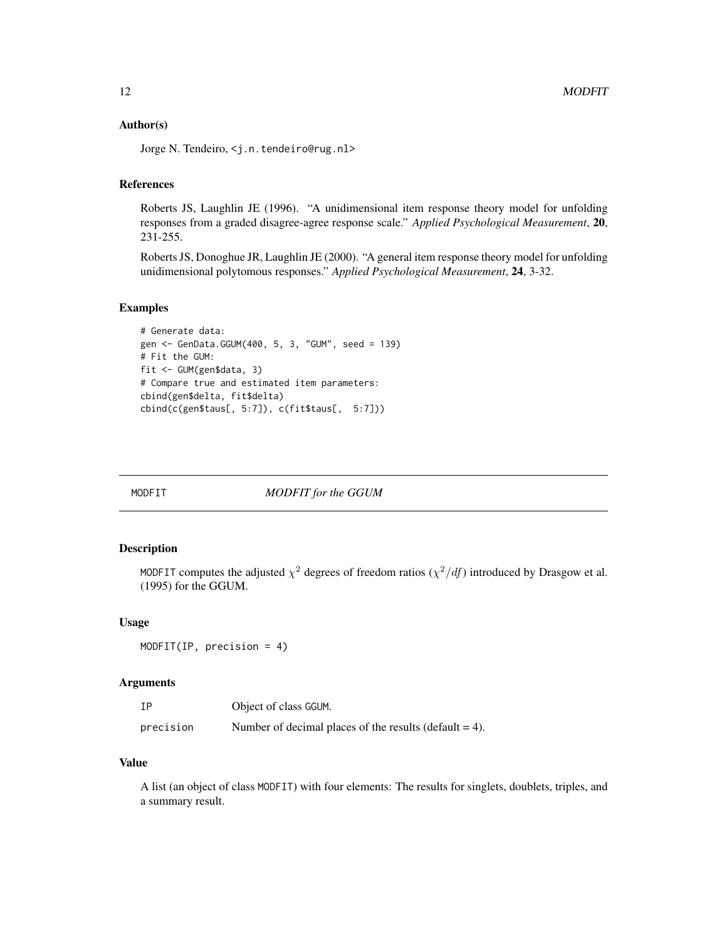## <span id="page-11-0"></span>Author(s)

Jorge N. Tendeiro, <j.n.tendeiro@rug.nl>

## References

Roberts JS, Laughlin JE (1996). "A unidimensional item response theory model for unfolding responses from a graded disagree-agree response scale." *Applied Psychological Measurement*, 20, 231-255.

Roberts JS, Donoghue JR, Laughlin JE (2000). "A general item response theory model for unfolding unidimensional polytomous responses." *Applied Psychological Measurement*, 24, 3-32.

## Examples

```
# Generate data:
gen <- GenData.GGUM(400, 5, 3, "GUM", seed = 139)
# Fit the GUM:
fit <- GUM(gen$data, 3)
# Compare true and estimated item parameters:
cbind(gen$delta, fit$delta)
cbind(c(gen$taus[, 5:7]), c(fit$taus[, 5:7]))
```
<span id="page-11-1"></span>

MODFIT *MODFIT for the GGUM*

## Description

MODFIT computes the adjusted  $\chi^2$  degrees of freedom ratios ( $\chi^2/df$ ) introduced by Drasgow et al. (1995) for the GGUM.

#### Usage

```
MODFIT(IP, precision = 4)
```
## Arguments

| ΙP        | Object of class GGUM.                                     |
|-----------|-----------------------------------------------------------|
| precision | Number of decimal places of the results (default $= 4$ ). |

## Value

A list (an object of class MODFIT) with four elements: The results for singlets, doublets, triples, and a summary result.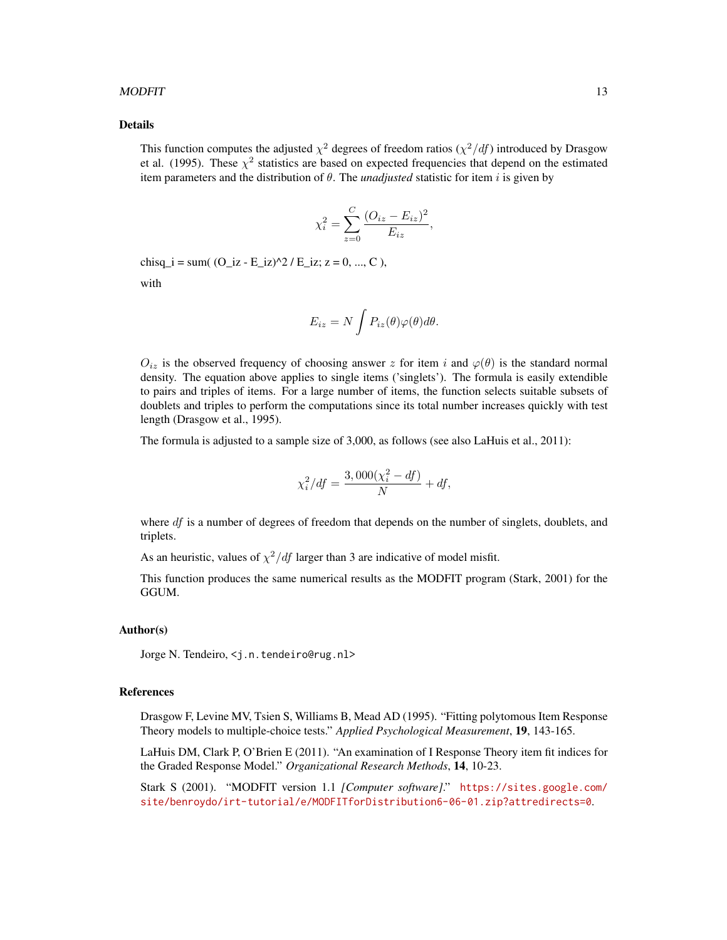#### $MODFIT$  13

#### Details

This function computes the adjusted  $\chi^2$  degrees of freedom ratios  $(\chi^2/df)$  introduced by Drasgow et al. (1995). These  $\chi^2$  statistics are based on expected frequencies that depend on the estimated item parameters and the distribution of  $\theta$ . The *unadjusted* statistic for item i is given by

$$
\chi_i^2 = \sum_{z=0}^C \frac{(O_{iz} - E_{iz})^2}{E_{iz}},
$$

chisq  $i = sum((O iz - E iz)^{2}/E iz; z = 0, ..., C)$ ,

with

$$
E_{iz} = N \int P_{iz}(\theta) \varphi(\theta) d\theta.
$$

 $O_{iz}$  is the observed frequency of choosing answer z for item i and  $\varphi(\theta)$  is the standard normal density. The equation above applies to single items ('singlets'). The formula is easily extendible to pairs and triples of items. For a large number of items, the function selects suitable subsets of doublets and triples to perform the computations since its total number increases quickly with test length (Drasgow et al., 1995).

The formula is adjusted to a sample size of 3,000, as follows (see also LaHuis et al., 2011):

$$
\chi_i^2 / df = \frac{3,000(\chi_i^2 - df)}{N} + df,
$$

where  $df$  is a number of degrees of freedom that depends on the number of singlets, doublets, and triplets.

As an heuristic, values of  $\chi^2/df$  larger than 3 are indicative of model misfit.

This function produces the same numerical results as the MODFIT program (Stark, 2001) for the GGUM.

#### Author(s)

Jorge N. Tendeiro, <j.n.tendeiro@rug.nl>

#### References

Drasgow F, Levine MV, Tsien S, Williams B, Mead AD (1995). "Fitting polytomous Item Response Theory models to multiple-choice tests." *Applied Psychological Measurement*, 19, 143-165.

LaHuis DM, Clark P, O'Brien E (2011). "An examination of I Response Theory item fit indices for the Graded Response Model." *Organizational Research Methods*, 14, 10-23.

Stark S (2001). "MODFIT version 1.1 *[Computer software]*." [https://sites.google.com/](https://sites.google.com/site/benroydo/irt-tutorial/e/MODFITforDistribution6-06-01.zip?attredirects=0) [site/benroydo/irt-tutorial/e/MODFITforDistribution6-06-01.zip?attredirects=0](https://sites.google.com/site/benroydo/irt-tutorial/e/MODFITforDistribution6-06-01.zip?attredirects=0).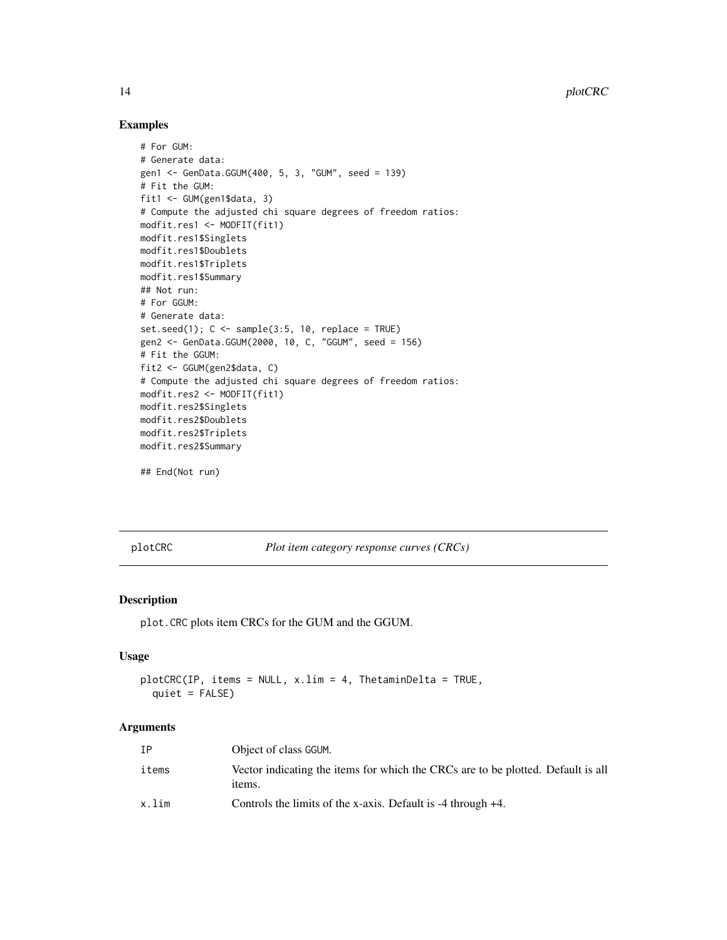## Examples

```
# For GUM:
# Generate data:
gen1 <- GenData.GGUM(400, 5, 3, "GUM", seed = 139)
# Fit the GUM:
fit1 <- GUM(gen1$data, 3)
# Compute the adjusted chi square degrees of freedom ratios:
modfit.res1 <- MODFIT(fit1)
modfit.res1$Singlets
modfit.res1$Doublets
modfit.res1$Triplets
modfit.res1$Summary
## Not run:
# For GGUM:
# Generate data:
set.seed(1); C \leq sample(3:5, 10, replace = TRUE)
gen2 <- GenData.GGUM(2000, 10, C, "GGUM", seed = 156)
# Fit the GGUM:
fit2 <- GGUM(gen2$data, C)
# Compute the adjusted chi square degrees of freedom ratios:
modfit.res2 <- MODFIT(fit1)
modfit.res2$Singlets
modfit.res2$Doublets
modfit.res2$Triplets
modfit.res2$Summary
## End(Not run)
```
<span id="page-13-1"></span>plotCRC *Plot item category response curves (CRCs)*

## Description

plot.CRC plots item CRCs for the GUM and the GGUM.

#### Usage

plotCRC(IP, items = NULL, x.lim = 4, ThetaminDelta = TRUE,  $quiet = FALSE$ )

## Arguments

| ΙP    | Object of class GGUM.                                                                      |
|-------|--------------------------------------------------------------------------------------------|
| items | Vector indicating the items for which the CRCs are to be plotted. Default is all<br>items. |
| x.lim | Controls the limits of the x-axis. Default is $-4$ through $+4$ .                          |

<span id="page-13-0"></span>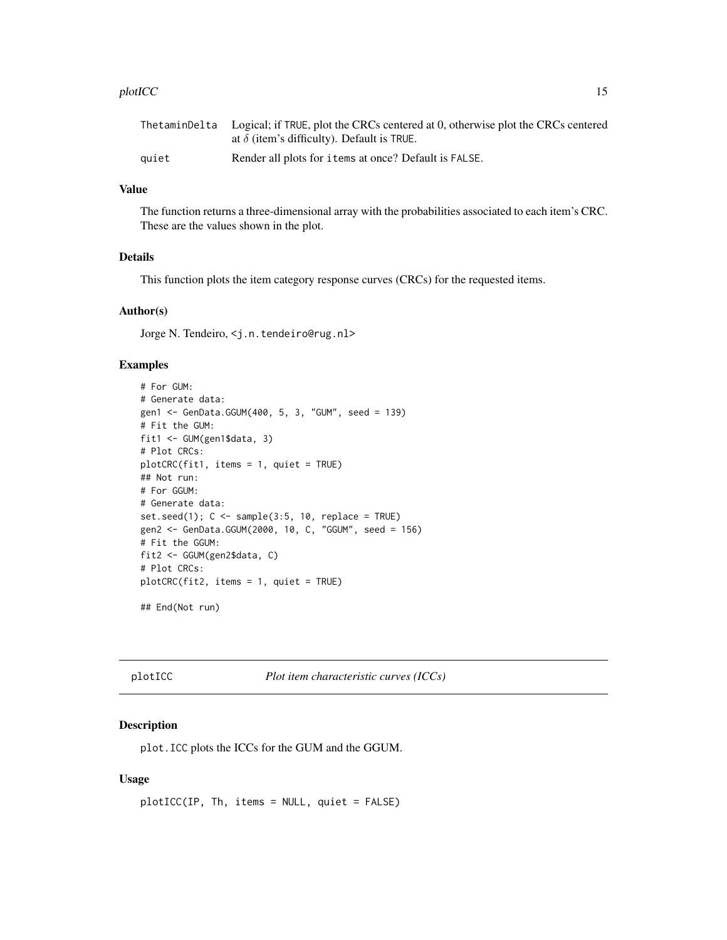#### <span id="page-14-0"></span>plotICC and the state of the state of the state of the state of the state of the state of the state of the state of the state of the state of the state of the state of the state of the state of the state of the state of th

|       | The taminDelta Logical; if TRUE, plot the CRCs centered at 0, otherwise plot the CRCs centered |
|-------|------------------------------------------------------------------------------------------------|
|       | at $\delta$ (item's difficulty). Default is TRUE.                                              |
| auiet | Render all plots for items at once? Default is FALSE.                                          |

## Value

The function returns a three-dimensional array with the probabilities associated to each item's CRC. These are the values shown in the plot.

## Details

This function plots the item category response curves (CRCs) for the requested items.

## Author(s)

Jorge N. Tendeiro, <j.n.tendeiro@rug.nl>

## Examples

```
# For GUM:
# Generate data:
gen1 <- GenData.GGUM(400, 5, 3, "GUM", seed = 139)
# Fit the GUM:
fit1 <- GUM(gen1$data, 3)
# Plot CRCs:
plotCRC(fit1, items = 1, quiet = TRUE)
## Not run:
# For GGUM:
# Generate data:
set.seed(1); C \leq sample(3:5, 10, replace = TRUE)
gen2 <- GenData.GGUM(2000, 10, C, "GGUM", seed = 156)
# Fit the GGUM:
fit2 <- GGUM(gen2$data, C)
# Plot CRCs:
plotCRC(fit2, items = 1, quiet = TRUE)
## End(Not run)
```
<span id="page-14-1"></span>

plotICC *Plot item characteristic curves (ICCs)*

## Description

plot.ICC plots the ICCs for the GUM and the GGUM.

#### Usage

```
plotICC(IP, Th, items = NULL, quiet = FALSE)
```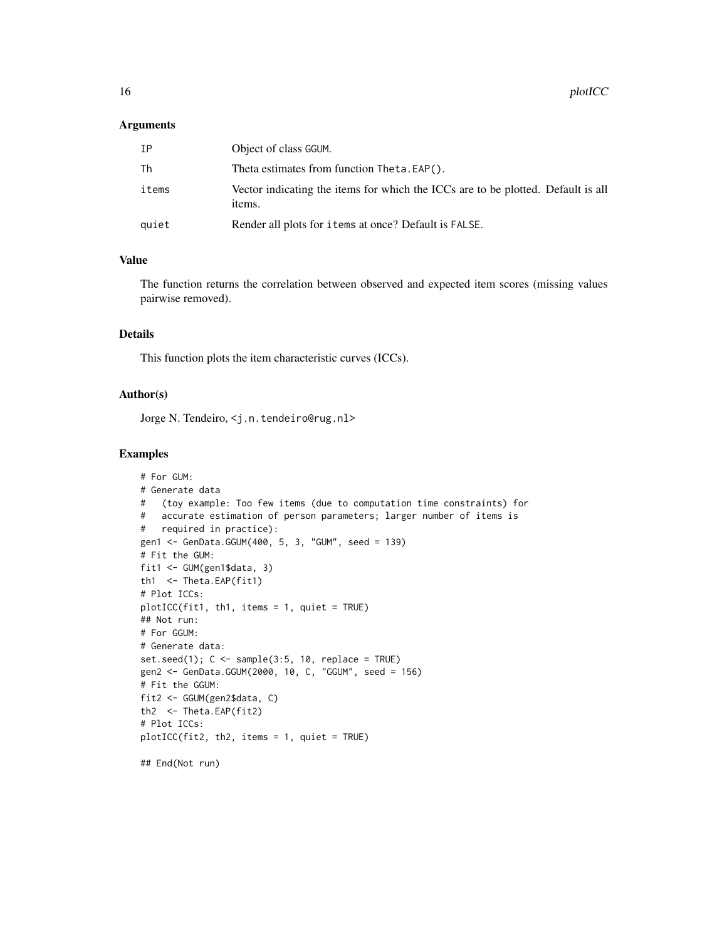#### Arguments

| IΡ    | Object of class GGUM.                                                                      |
|-------|--------------------------------------------------------------------------------------------|
| Тh    | Theta estimates from function Theta. EAP().                                                |
| items | Vector indicating the items for which the ICCs are to be plotted. Default is all<br>items. |
| quiet | Render all plots for items at once? Default is FALSE.                                      |

## Value

The function returns the correlation between observed and expected item scores (missing values pairwise removed).

## Details

This function plots the item characteristic curves (ICCs).

#### Author(s)

Jorge N. Tendeiro, <j.n.tendeiro@rug.nl>

#### Examples

```
# For GUM:
# Generate data
# (toy example: Too few items (due to computation time constraints) for
# accurate estimation of person parameters; larger number of items is
# required in practice):
gen1 <- GenData.GGUM(400, 5, 3, "GUM", seed = 139)
# Fit the GUM:
fit1 <- GUM(gen1$data, 3)
th1 <- Theta.EAP(fit1)
# Plot ICCs:
plotICC(fit1, th1, items = 1, quiet = TRUE)
## Not run:
# For GGUM:
# Generate data:
set.seed(1); C \leq sample(3:5, 10, replace = TRUE)
gen2 <- GenData.GGUM(2000, 10, C, "GGUM", seed = 156)
# Fit the GGUM:
fit2 <- GGUM(gen2$data, C)
th2 <- Theta.EAP(fit2)
# Plot ICCs:
plotICC(fit2, th2, items = 1, quiet = TRUE)
## End(Not run)
```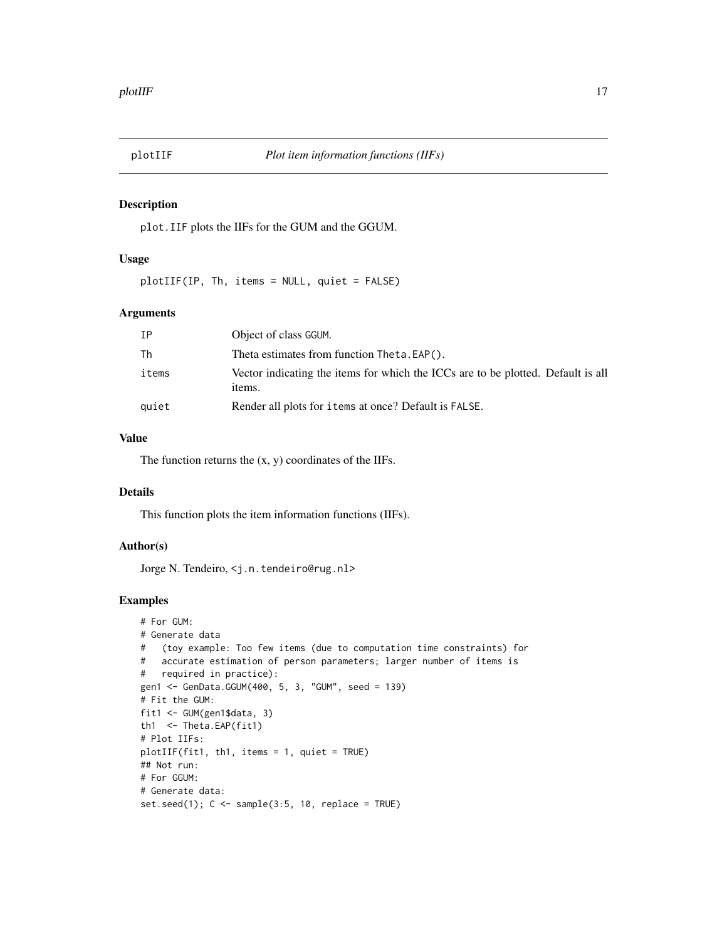<span id="page-16-1"></span><span id="page-16-0"></span>

## Description

plot.IIF plots the IIFs for the GUM and the GGUM.

## Usage

plotIIF(IP, Th, items = NULL, quiet = FALSE)

## Arguments

| IΡ    | Object of class GGUM.                                                                      |
|-------|--------------------------------------------------------------------------------------------|
| Th    | Theta estimates from function Theta. EAP().                                                |
| items | Vector indicating the items for which the ICCs are to be plotted. Default is all<br>items. |
| quiet | Render all plots for items at once? Default is FALSE.                                      |

## Value

The function returns the  $(x, y)$  coordinates of the IIFs.

#### Details

This function plots the item information functions (IIFs).

#### Author(s)

Jorge N. Tendeiro, <j.n.tendeiro@rug.nl>

## Examples

```
# For GUM:
# Generate data
# (toy example: Too few items (due to computation time constraints) for
# accurate estimation of person parameters; larger number of items is
# required in practice):
gen1 <- GenData.GGUM(400, 5, 3, "GUM", seed = 139)
# Fit the GUM:
fit1 <- GUM(gen1$data, 3)
th1 <- Theta.EAP(fit1)
# Plot IIFs:
plotIIF(fit1, th1, items = 1, quiet = TRUE)
## Not run:
# For GGUM:
# Generate data:
set.seed(1); C \leq - sample(3:5, 10, replace = TRUE)
```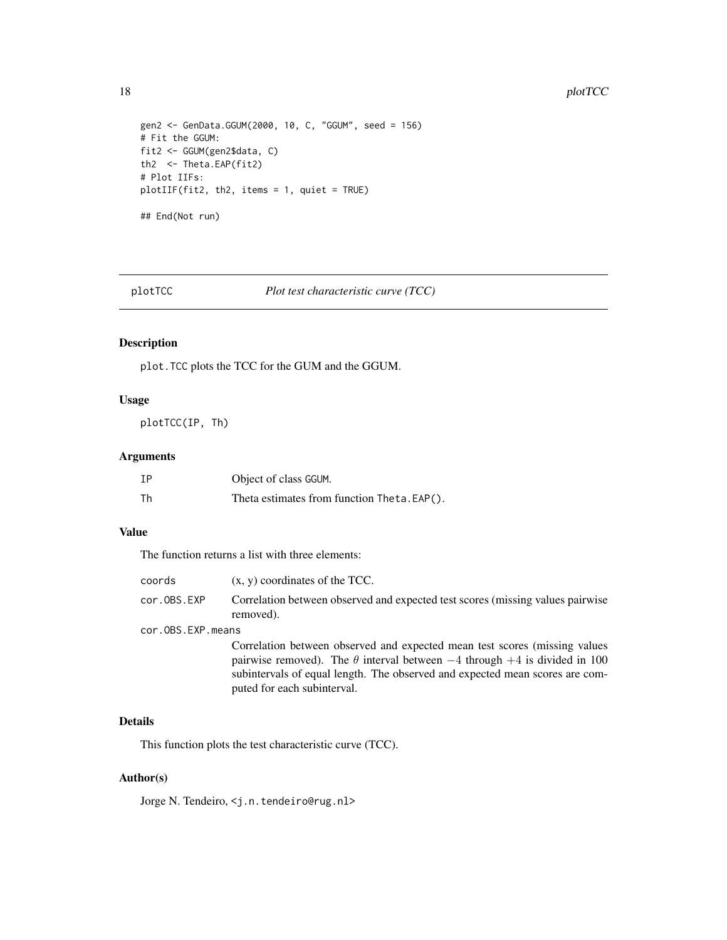#### <span id="page-17-0"></span>18 plotTCC

```
gen2 <- GenData.GGUM(2000, 10, C, "GGUM", seed = 156)
# Fit the GGUM:
fit2 <- GGUM(gen2$data, C)
th2 <- Theta.EAP(fit2)
# Plot IIFs:
plotIIF(fit2, th2, items = 1, quiet = TRUE)
## End(Not run)
```
<span id="page-17-1"></span>plotTCC *Plot test characteristic curve (TCC)*

## Description

plot.TCC plots the TCC for the GUM and the GGUM.

## Usage

plotTCC(IP, Th)

## Arguments

| IΡ | Object of class GGUM.                      |
|----|--------------------------------------------|
| Th | Theta estimates from function Theta.EAP(). |

## Value

The function returns a list with three elements:

| coords            | $(x, y)$ coordinates of the TCC.                                                             |  |
|-------------------|----------------------------------------------------------------------------------------------|--|
| cor.OBS.EXP       | Correlation between observed and expected test scores (missing values pairwise)<br>removed). |  |
| cor.OBS.EXP.means |                                                                                              |  |
|                   | Correlation between observed and expected mean test scores (missing values)                  |  |
|                   | pairwise removed). The $\theta$ interval between $-4$ through $+4$ is divided in 100         |  |

subintervals of equal length. The observed and expected mean scores are com-

puted for each subinterval.

## Details

This function plots the test characteristic curve (TCC).

## Author(s)

Jorge N. Tendeiro, <j.n.tendeiro@rug.nl>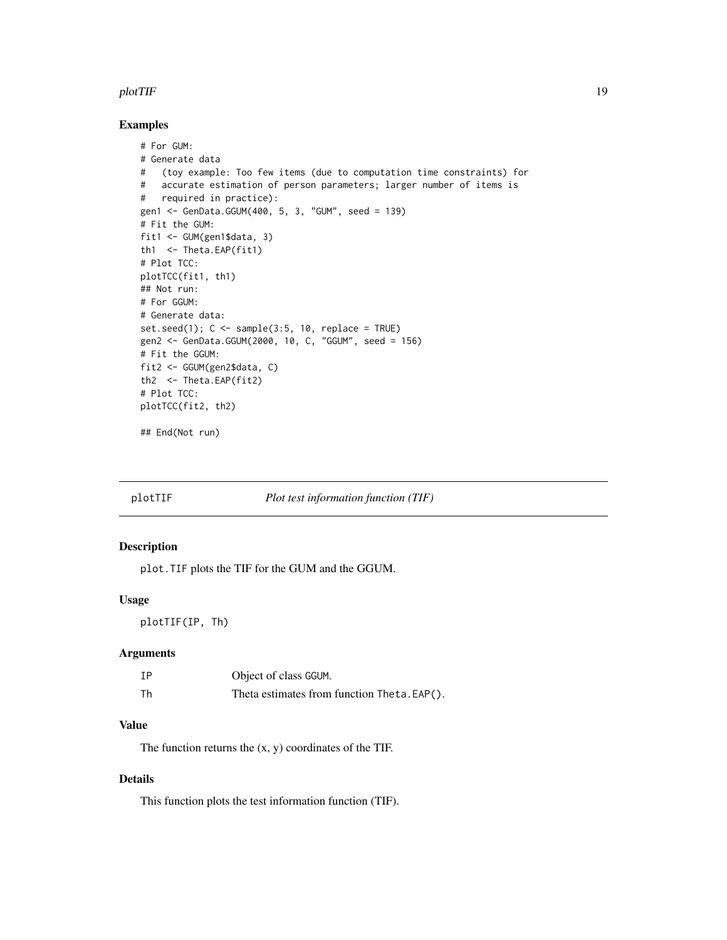#### <span id="page-18-0"></span>plotTIF 19

## Examples

```
# For GUM:
# Generate data
# (toy example: Too few items (due to computation time constraints) for
# accurate estimation of person parameters; larger number of items is
# required in practice):
gen1 <- GenData.GGUM(400, 5, 3, "GUM", seed = 139)
# Fit the GUM:
fit1 <- GUM(gen1$data, 3)
th1 <- Theta.EAP(fit1)
# Plot TCC:
plotTCC(fit1, th1)
## Not run:
# For GGUM:
# Generate data:
set.seed(1); C \leq - sample(3:5, 10, replace = TRUE)
gen2 <- GenData.GGUM(2000, 10, C, "GGUM", seed = 156)
# Fit the GGUM:
fit2 <- GGUM(gen2$data, C)
th2 <- Theta.EAP(fit2)
# Plot TCC:
plotTCC(fit2, th2)
```
## End(Not run)

<span id="page-18-1"></span>

plotTIF *Plot test information function (TIF)*

#### Description

plot.TIF plots the TIF for the GUM and the GGUM.

## Usage

plotTIF(IP, Th)

## Arguments

| IΡ | Object of class GGUM.                       |
|----|---------------------------------------------|
| Th | Theta estimates from function Theta. EAP(). |

## Value

The function returns the (x, y) coordinates of the TIF.

## Details

This function plots the test information function (TIF).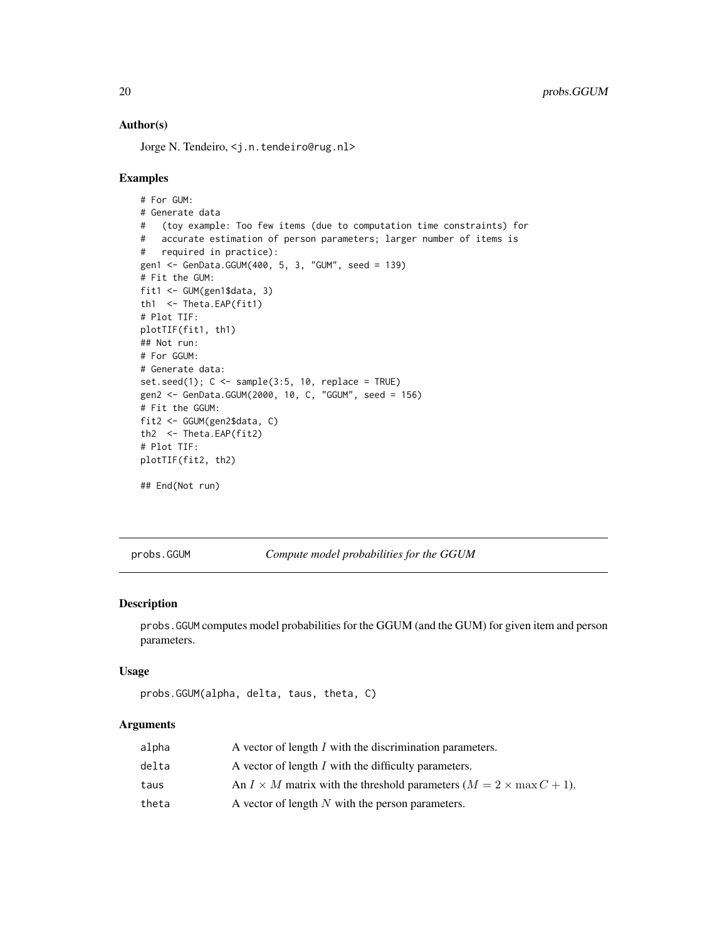## Author(s)

Jorge N. Tendeiro, <j.n.tendeiro@rug.nl>

#### Examples

```
# For GUM:
# Generate data
# (toy example: Too few items (due to computation time constraints) for
# accurate estimation of person parameters; larger number of items is
# required in practice):
gen1 <- GenData.GGUM(400, 5, 3, "GUM", seed = 139)
# Fit the GUM:
fit1 <- GUM(gen1$data, 3)
th1 <- Theta.EAP(fit1)
# Plot TIF:
plotTIF(fit1, th1)
## Not run:
# For GGUM:
# Generate data:
set.seed(1); C \leq sample(3:5, 10, replace = TRUE)
gen2 <- GenData.GGUM(2000, 10, C, "GGUM", seed = 156)
# Fit the GGUM:
fit2 <- GGUM(gen2$data, C)
th2 <- Theta.EAP(fit2)
# Plot TIF:
plotTIF(fit2, th2)
## End(Not run)
```
<span id="page-19-1"></span>probs.GGUM *Compute model probabilities for the GGUM*

#### Description

probs.GGUM computes model probabilities for the GGUM (and the GUM) for given item and person parameters.

#### Usage

```
probs.GGUM(alpha, delta, taus, theta, C)
```
## Arguments

| alpha | A vector of length I with the discrimination parameters.                           |
|-------|------------------------------------------------------------------------------------|
| delta | A vector of length I with the difficulty parameters.                               |
| taus  | An $I \times M$ matrix with the threshold parameters $(M = 2 \times \max C + 1)$ . |
| theta | A vector of length $N$ with the person parameters.                                 |

<span id="page-19-0"></span>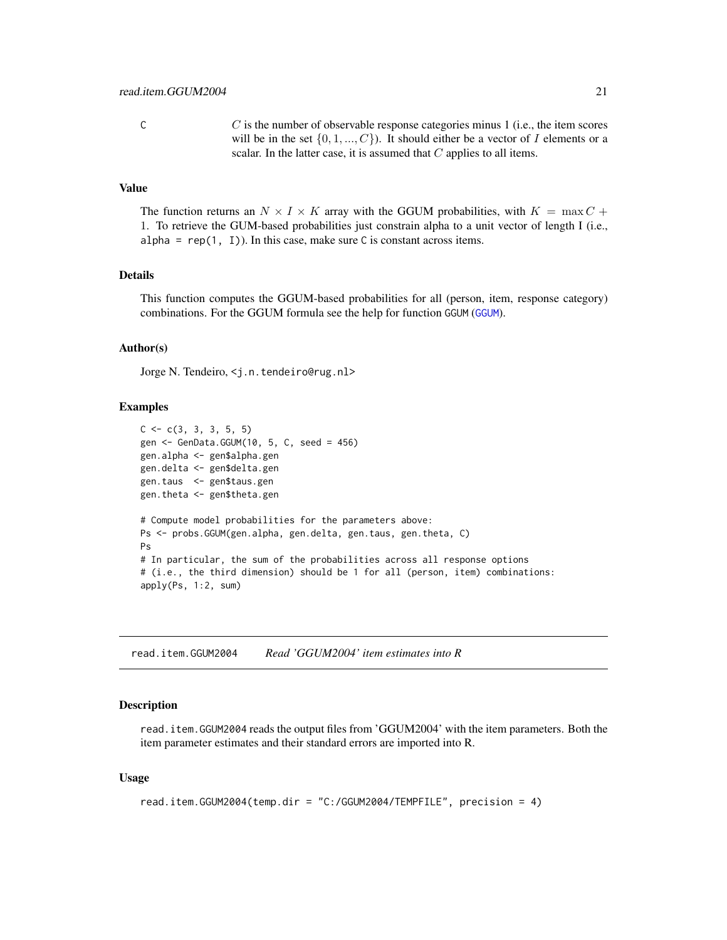<span id="page-20-0"></span>C is the number of observable response categories minus 1 (i.e., the item scores will be in the set  $\{0, 1, ..., C\}$ ). It should either be a vector of I elements or a scalar. In the latter case, it is assumed that  $C$  applies to all items.

## Value

The function returns an  $N \times I \times K$  array with the GGUM probabilities, with  $K = \max C +$ 1. To retrieve the GUM-based probabilities just constrain alpha to a unit vector of length I (i.e., alpha =  $rep(1, 1)$ ). In this case, make sure C is constant across items.

#### Details

This function computes the GGUM-based probabilities for all (person, item, response category) combinations. For the GGUM formula see the help for function GGUM ([GGUM](#page-7-1)).

## Author(s)

Jorge N. Tendeiro, <j.n.tendeiro@rug.nl>

#### Examples

```
C \leq -c(3, 3, 3, 5, 5)gen <- GenData.GGUM(10, 5, C, seed = 456)
gen.alpha <- gen$alpha.gen
gen.delta <- gen$delta.gen
gen.taus <- gen$taus.gen
gen.theta <- gen$theta.gen
# Compute model probabilities for the parameters above:
Ps <- probs.GGUM(gen.alpha, gen.delta, gen.taus, gen.theta, C)
Ps
# In particular, the sum of the probabilities across all response options
# (i.e., the third dimension) should be 1 for all (person, item) combinations:
apply(Ps, 1:2, sum)
```
<span id="page-20-1"></span>read.item.GGUM2004 *Read 'GGUM2004' item estimates into R*

## Description

read.item.GGUM2004 reads the output files from 'GGUM2004' with the item parameters. Both the item parameter estimates and their standard errors are imported into R.

#### Usage

```
read.item.GGUM2004(temp.dir = "C:/GGUM2004/TEMPFILE", precision = 4)
```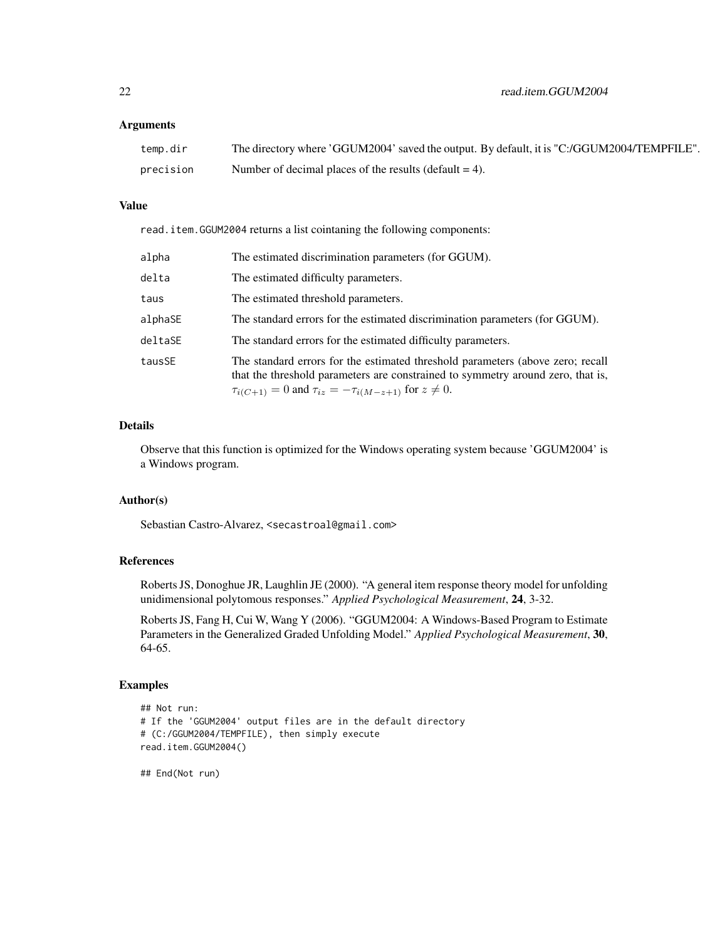#### Arguments

| temp.dir  | The directory where 'GGUM2004' saved the output. By default, it is "C:/GGUM2004/TEMPFILE". |
|-----------|--------------------------------------------------------------------------------------------|
| precision | Number of decimal places of the results (default $= 4$ ).                                  |

#### Value

read.item.GGUM2004 returns a list cointaning the following components:

| alpha   | The estimated discrimination parameters (for GGUM).                                                                                                                                                                                          |
|---------|----------------------------------------------------------------------------------------------------------------------------------------------------------------------------------------------------------------------------------------------|
| delta   | The estimated difficulty parameters.                                                                                                                                                                                                         |
| taus    | The estimated threshold parameters.                                                                                                                                                                                                          |
| alphaSE | The standard errors for the estimated discrimination parameters (for GGUM).                                                                                                                                                                  |
| deltaSE | The standard errors for the estimated difficulty parameters.                                                                                                                                                                                 |
| tausSE  | The standard errors for the estimated threshold parameters (above zero; recall<br>that the threshold parameters are constrained to symmetry around zero, that is,<br>$\tau_{i(C+1)} = 0$ and $\tau_{iz} = -\tau_{i(M-z+1)}$ for $z \neq 0$ . |

## Details

Observe that this function is optimized for the Windows operating system because 'GGUM2004' is a Windows program.

## Author(s)

Sebastian Castro-Alvarez, <secastroal@gmail.com>

## References

Roberts JS, Donoghue JR, Laughlin JE (2000). "A general item response theory model for unfolding unidimensional polytomous responses." *Applied Psychological Measurement*, 24, 3-32.

Roberts JS, Fang H, Cui W, Wang Y (2006). "GGUM2004: A Windows-Based Program to Estimate Parameters in the Generalized Graded Unfolding Model." *Applied Psychological Measurement*, 30, 64-65.

## Examples

```
## Not run:
# If the 'GGUM2004' output files are in the default directory
# (C:/GGUM2004/TEMPFILE), then simply execute
read.item.GGUM2004()
```
## End(Not run)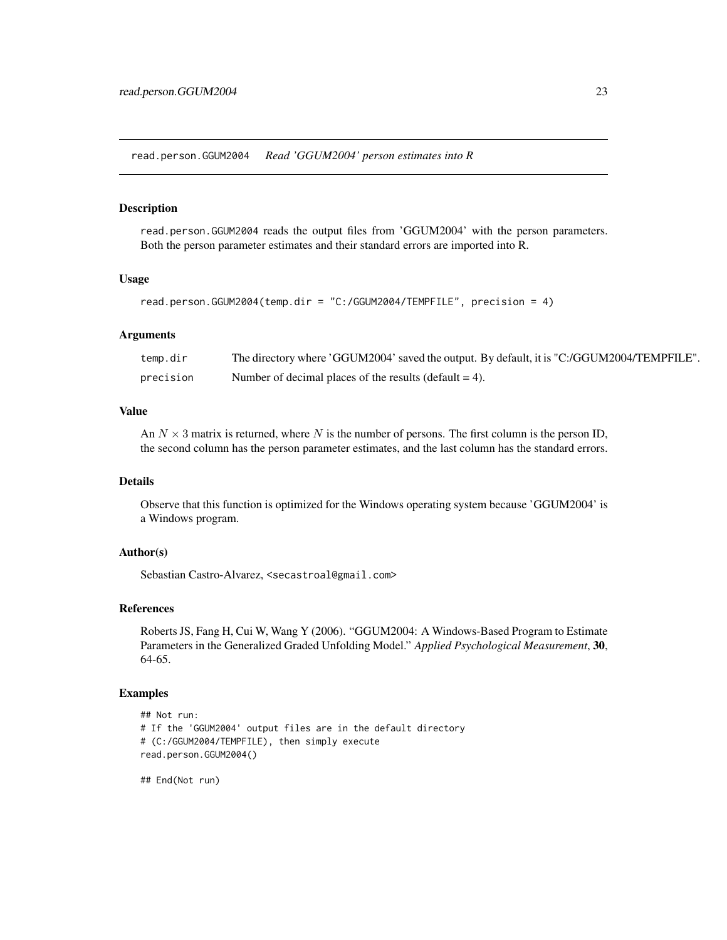<span id="page-22-1"></span><span id="page-22-0"></span>read.person.GGUM2004 *Read 'GGUM2004' person estimates into R*

## Description

read.person.GGUM2004 reads the output files from 'GGUM2004' with the person parameters. Both the person parameter estimates and their standard errors are imported into R.

#### Usage

```
read.person.GGUM2004(temp.dir = "C:/GGUM2004/TEMPFILE", precision = 4)
```
#### Arguments

| temp.dir  | The directory where 'GGUM2004' saved the output. By default, it is "C:/GGUM2004/TEMPFILE". |
|-----------|--------------------------------------------------------------------------------------------|
| precision | Number of decimal places of the results (default $= 4$ ).                                  |

## Value

An  $N \times 3$  matrix is returned, where N is the number of persons. The first column is the person ID, the second column has the person parameter estimates, and the last column has the standard errors.

## Details

Observe that this function is optimized for the Windows operating system because 'GGUM2004' is a Windows program.

## Author(s)

Sebastian Castro-Alvarez, <secastroal@gmail.com>

## References

Roberts JS, Fang H, Cui W, Wang Y (2006). "GGUM2004: A Windows-Based Program to Estimate Parameters in the Generalized Graded Unfolding Model." *Applied Psychological Measurement*, 30, 64-65.

## Examples

```
## Not run:
# If the 'GGUM2004' output files are in the default directory
# (C:/GGUM2004/TEMPFILE), then simply execute
read.person.GGUM2004()
```
## End(Not run)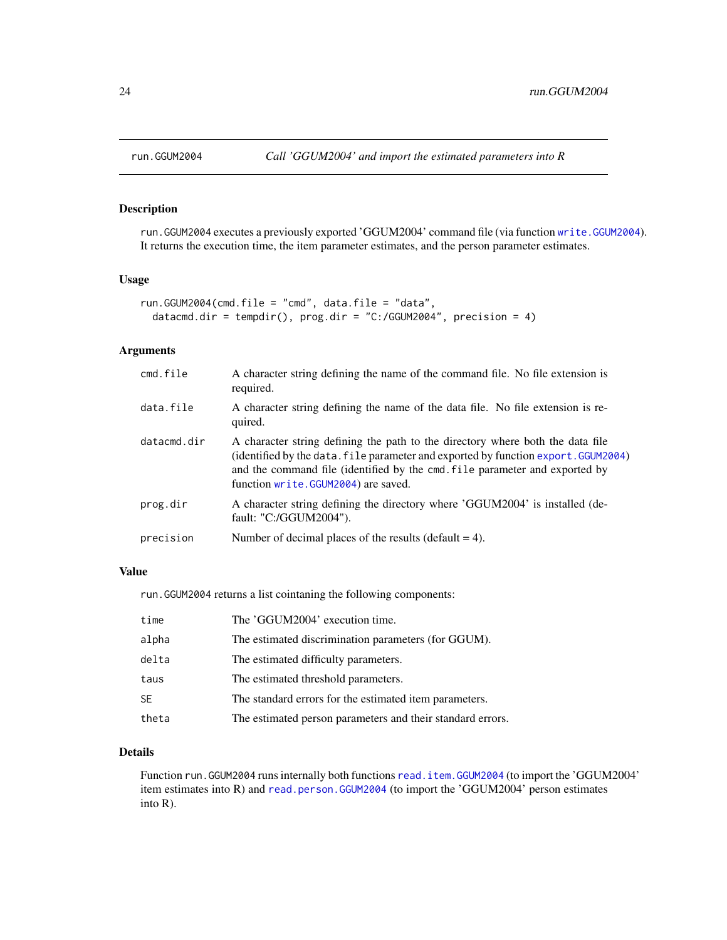<span id="page-23-1"></span><span id="page-23-0"></span>

## Description

run.GGUM2004 executes a previously exported 'GGUM2004' command file (via function [write.GGUM2004](#page-26-1)). It returns the execution time, the item parameter estimates, and the person parameter estimates.

## Usage

```
run.GGUM2004(cmd.file = "cmd", data.file = "data",
 datacmd.dir = tempdir(), prog.dir = "C://GGUM2004", precision = 4)
```
#### Arguments

| cmd.file    | A character string defining the name of the command file. No file extension is<br>required.                                                                                                                                                                                                |
|-------------|--------------------------------------------------------------------------------------------------------------------------------------------------------------------------------------------------------------------------------------------------------------------------------------------|
| data.file   | A character string defining the name of the data file. No file extension is re-<br>quired.                                                                                                                                                                                                 |
| datacmd.dir | A character string defining the path to the directory where both the data file<br>(identified by the data. file parameter and exported by function export. GGUM2004)<br>and the command file (identified by the cmd. file parameter and exported by<br>function write.GGUM2004) are saved. |
| prog.dir    | A character string defining the directory where 'GGUM2004' is installed (de-<br>fault: "C:/GGUM2004").                                                                                                                                                                                     |
| precision   | Number of decimal places of the results (default $= 4$ ).                                                                                                                                                                                                                                  |

## Value

run.GGUM2004 returns a list cointaning the following components:

| time  | The 'GGUM2004' execution time.                             |
|-------|------------------------------------------------------------|
| alpha | The estimated discrimination parameters (for GGUM).        |
| delta | The estimated difficulty parameters.                       |
| taus  | The estimated threshold parameters.                        |
| SE    | The standard errors for the estimated item parameters.     |
| theta | The estimated person parameters and their standard errors. |

## Details

Function run.GGUM2004 runs internally both functions [read.item.GGUM2004](#page-20-1) (to import the 'GGUM2004' item estimates into R) and [read.person.GGUM2004](#page-22-1) (to import the 'GGUM2004' person estimates into R).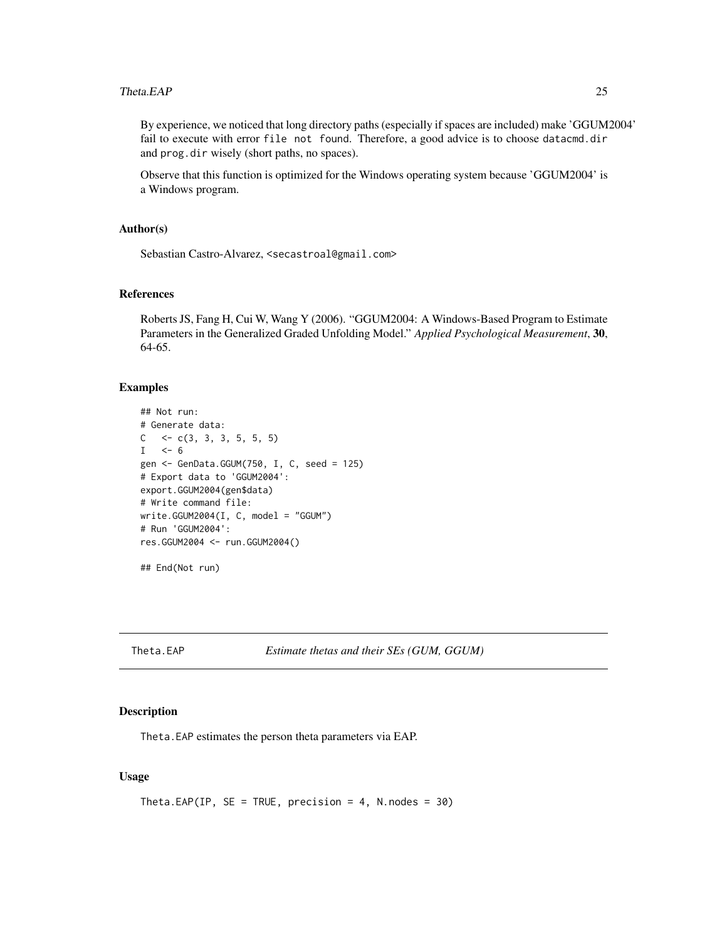#### <span id="page-24-0"></span>Theta.EAP 25

By experience, we noticed that long directory paths (especially if spaces are included) make 'GGUM2004' fail to execute with error file not found. Therefore, a good advice is to choose datacmd.dir and prog.dir wisely (short paths, no spaces).

Observe that this function is optimized for the Windows operating system because 'GGUM2004' is a Windows program.

## Author(s)

Sebastian Castro-Alvarez, <secastroal@gmail.com>

#### References

Roberts JS, Fang H, Cui W, Wang Y (2006). "GGUM2004: A Windows-Based Program to Estimate Parameters in the Generalized Graded Unfolding Model." *Applied Psychological Measurement*, 30, 64-65.

#### Examples

```
## Not run:
# Generate data:
C \leq -c(3, 3, 3, 5, 5, 5)I \le -6gen <- GenData.GGUM(750, I, C, seed = 125)
# Export data to 'GGUM2004':
export.GGUM2004(gen$data)
# Write command file:
write.GGUM2004(I, C, model = "GGUM")# Run 'GGUM2004':
res.GGUM2004 <- run.GGUM2004()
## End(Not run)
```
<span id="page-24-1"></span>Theta.EAP *Estimate thetas and their SEs (GUM, GGUM)*

## Description

Theta.EAP estimates the person theta parameters via EAP.

## Usage

```
Theta.EAP(IP, SE = TRUE, precision = 4, N.nodes = 30)
```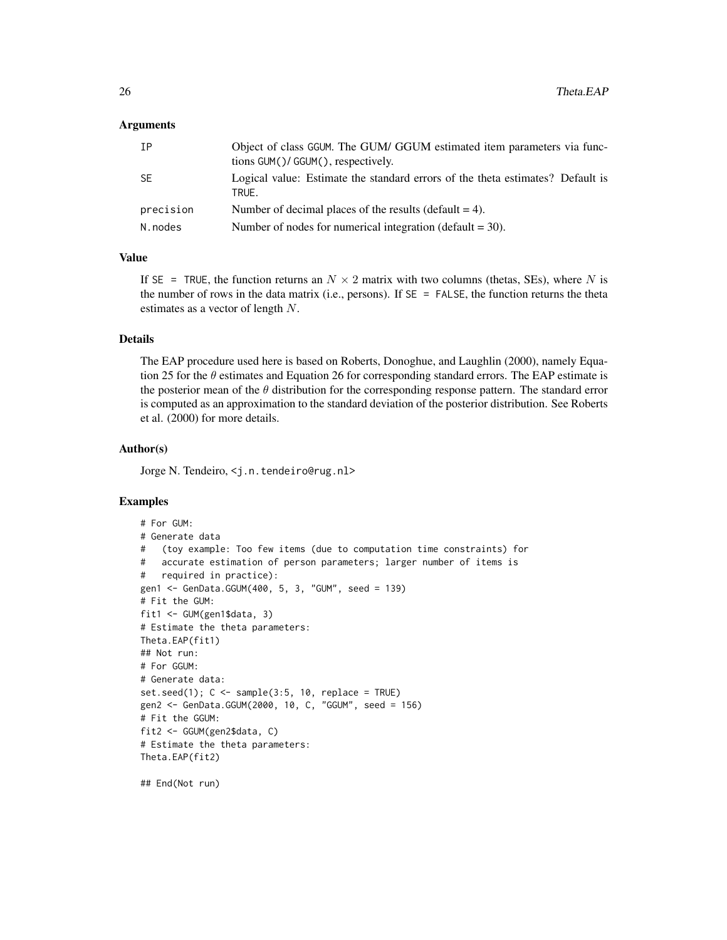## Arguments

| TP        | Object of class GGUM. The GUM/ GGUM estimated item parameters via func-<br>tions GUM()/GGUM(), respectively. |
|-----------|--------------------------------------------------------------------------------------------------------------|
| <b>SE</b> | Logical value: Estimate the standard errors of the theta estimates? Default is<br>TRUE.                      |
| precision | Number of decimal places of the results (default $= 4$ ).                                                    |
| N.nodes   | Number of nodes for numerical integration (default $=$ 30).                                                  |

## Value

If SE = TRUE, the function returns an  $N \times 2$  matrix with two columns (thetas, SEs), where N is the number of rows in the data matrix (i.e., persons). If  $SE = FALSE$ , the function returns the theta estimates as a vector of length N.

## Details

The EAP procedure used here is based on Roberts, Donoghue, and Laughlin (2000), namely Equation 25 for the  $\theta$  estimates and Equation 26 for corresponding standard errors. The EAP estimate is the posterior mean of the  $\theta$  distribution for the corresponding response pattern. The standard error is computed as an approximation to the standard deviation of the posterior distribution. See Roberts et al. (2000) for more details.

#### Author(s)

Jorge N. Tendeiro, <j.n.tendeiro@rug.nl>

## Examples

```
# For GUM:
# Generate data
# (toy example: Too few items (due to computation time constraints) for
# accurate estimation of person parameters; larger number of items is
# required in practice):
gen1 <- GenData.GGUM(400, 5, 3, "GUM", seed = 139)
# Fit the GUM:
fit1 <- GUM(gen1$data, 3)
# Estimate the theta parameters:
Theta.EAP(fit1)
## Not run:
# For GGUM:
# Generate data:
set.seed(1); C \leq sample(3:5, 10, replace = TRUE)
gen2 <- GenData.GGUM(2000, 10, C, "GGUM", seed = 156)
# Fit the GGUM:
fit2 <- GGUM(gen2$data, C)
# Estimate the theta parameters:
Theta.EAP(fit2)
```
## End(Not run)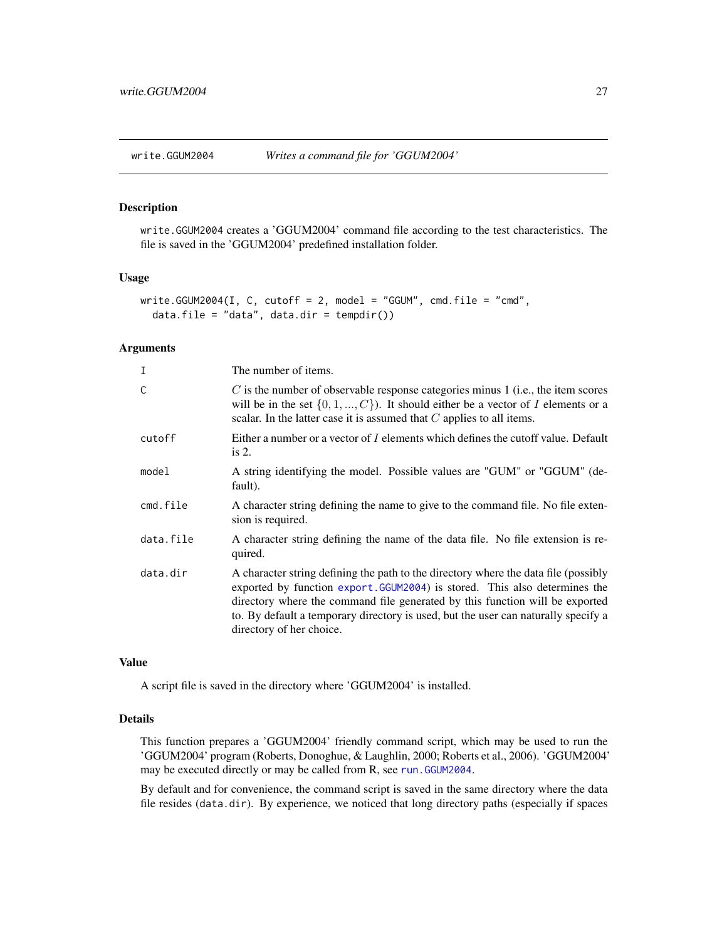<span id="page-26-1"></span><span id="page-26-0"></span>

## Description

write.GGUM2004 creates a 'GGUM2004' command file according to the test characteristics. The file is saved in the 'GGUM2004' predefined installation folder.

#### Usage

```
write.GGUM2004(I, C, cutoff = 2, model = "GGUM", cmd.file = "cmd",
  data.file = "data", data.dir = tempdir())
```
#### Arguments

| The number of items.                                                                                                                                                                                                                                                                                                                                                |
|---------------------------------------------------------------------------------------------------------------------------------------------------------------------------------------------------------------------------------------------------------------------------------------------------------------------------------------------------------------------|
| $C$ is the number of observable response categories minus 1 (i.e., the item scores<br>will be in the set $\{0, 1, , C\}$ . It should either be a vector of I elements or a<br>scalar. In the latter case it is assumed that $C$ applies to all items.                                                                                                               |
| Either a number or a vector of I elements which defines the cutoff value. Default<br>is $2$ .                                                                                                                                                                                                                                                                       |
| A string identifying the model. Possible values are "GUM" or "GGUM" (de-<br>fault).                                                                                                                                                                                                                                                                                 |
| A character string defining the name to give to the command file. No file exten-<br>sion is required.                                                                                                                                                                                                                                                               |
| A character string defining the name of the data file. No file extension is re-<br>quired.                                                                                                                                                                                                                                                                          |
| A character string defining the path to the directory where the data file (possibly<br>exported by function export. GGUM2004) is stored. This also determines the<br>directory where the command file generated by this function will be exported<br>to. By default a temporary directory is used, but the user can naturally specify a<br>directory of her choice. |
|                                                                                                                                                                                                                                                                                                                                                                     |

#### Value

A script file is saved in the directory where 'GGUM2004' is installed.

## Details

This function prepares a 'GGUM2004' friendly command script, which may be used to run the 'GGUM2004' program (Roberts, Donoghue, & Laughlin, 2000; Roberts et al., 2006). 'GGUM2004' may be executed directly or may be called from R, see [run.GGUM2004](#page-23-1).

By default and for convenience, the command script is saved in the same directory where the data file resides (data.dir). By experience, we noticed that long directory paths (especially if spaces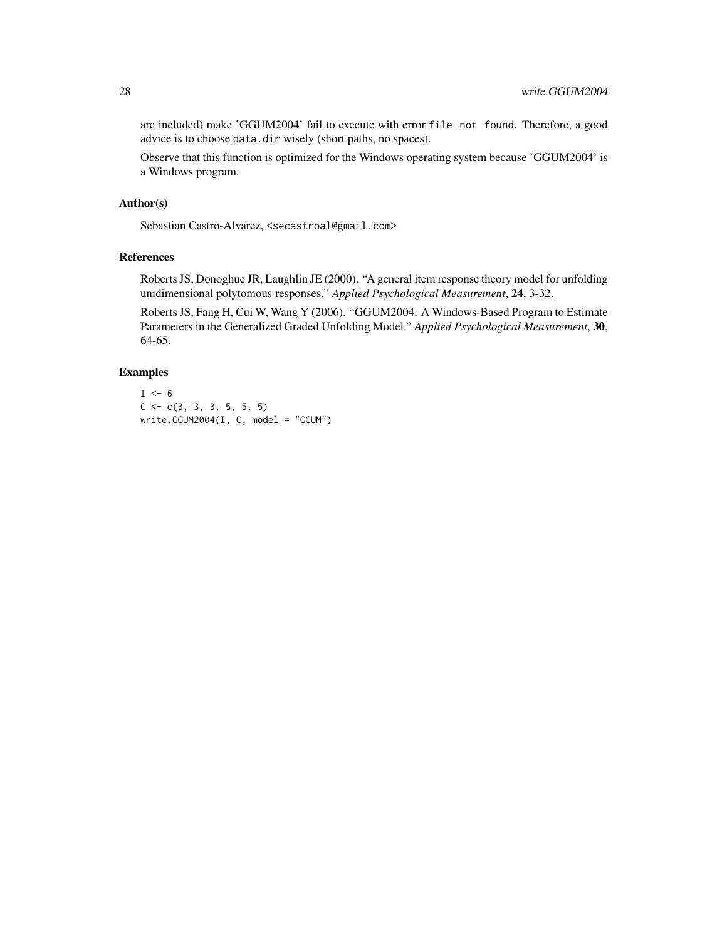are included) make 'GGUM2004' fail to execute with error file not found. Therefore, a good advice is to choose data.dir wisely (short paths, no spaces).

Observe that this function is optimized for the Windows operating system because 'GGUM2004' is a Windows program.

#### Author(s)

Sebastian Castro-Alvarez, <secastroal@gmail.com>

## References

Roberts JS, Donoghue JR, Laughlin JE (2000). "A general item response theory model for unfolding unidimensional polytomous responses." *Applied Psychological Measurement*, 24, 3-32.

Roberts JS, Fang H, Cui W, Wang Y (2006). "GGUM2004: A Windows-Based Program to Estimate Parameters in the Generalized Graded Unfolding Model." *Applied Psychological Measurement*, 30, 64-65.

## Examples

```
I \le -6C \leftarrow c(3, 3, 3, 5, 5, 5)write.GCUM2004(I, C, model = "GGUM")
```